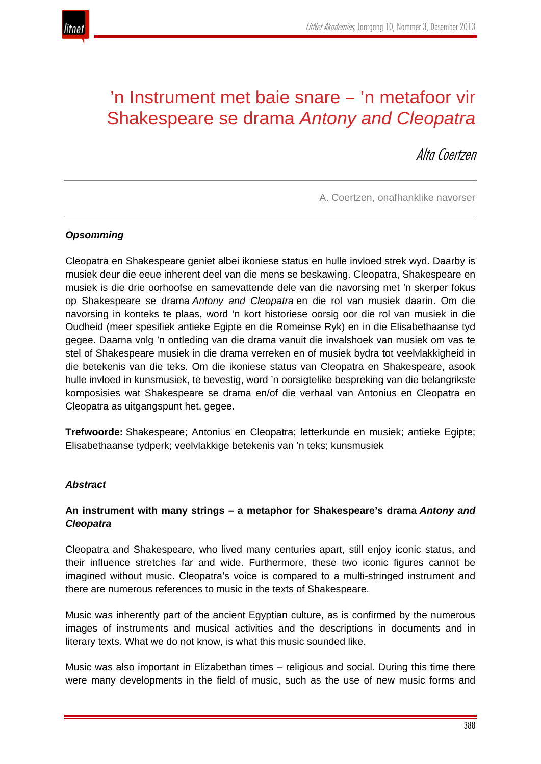

# 'n Instrument met baie snare ‒ 'n metafoor vir Shakespeare se drama *Antony and Cleopatra*

Alta Coertzen

A. Coertzen, onafhanklike navorser

# *Opsomming*

Cleopatra en Shakespeare geniet albei ikoniese status en hulle invloed strek wyd. Daarby is musiek deur die eeue inherent deel van die mens se beskawing. Cleopatra, Shakespeare en musiek is die drie oorhoofse en samevattende dele van die navorsing met 'n skerper fokus op Shakespeare se drama *Antony and Cleopatra* en die rol van musiek daarin. Om die navorsing in konteks te plaas, word 'n kort historiese oorsig oor die rol van musiek in die Oudheid (meer spesifiek antieke Egipte en die Romeinse Ryk) en in die Elisabethaanse tyd gegee. Daarna volg 'n ontleding van die drama vanuit die invalshoek van musiek om vas te stel of Shakespeare musiek in die drama verreken en of musiek bydra tot veelvlakkigheid in die betekenis van die teks. Om die ikoniese status van Cleopatra en Shakespeare, asook hulle invloed in kunsmusiek, te bevestig, word 'n oorsigtelike bespreking van die belangrikste komposisies wat Shakespeare se drama en/of die verhaal van Antonius en Cleopatra en Cleopatra as uitgangspunt het, gegee.

**Trefwoorde:** Shakespeare; Antonius en Cleopatra; letterkunde en musiek; antieke Egipte; Elisabethaanse tydperk; veelvlakkige betekenis van 'n teks; kunsmusiek

#### *Abstract*

# **An instrument with many strings – a metaphor for Shakespeare's drama** *Antony and Cleopatra*

Cleopatra and Shakespeare, who lived many centuries apart, still enjoy iconic status, and their influence stretches far and wide. Furthermore, these two iconic figures cannot be imagined without music. Cleopatra's voice is compared to a multi-stringed instrument and there are numerous references to music in the texts of Shakespeare.

Music was inherently part of the ancient Egyptian culture, as is confirmed by the numerous images of instruments and musical activities and the descriptions in documents and in literary texts. What we do not know, is what this music sounded like.

Music was also important in Elizabethan times – religious and social. During this time there were many developments in the field of music, such as the use of new music forms and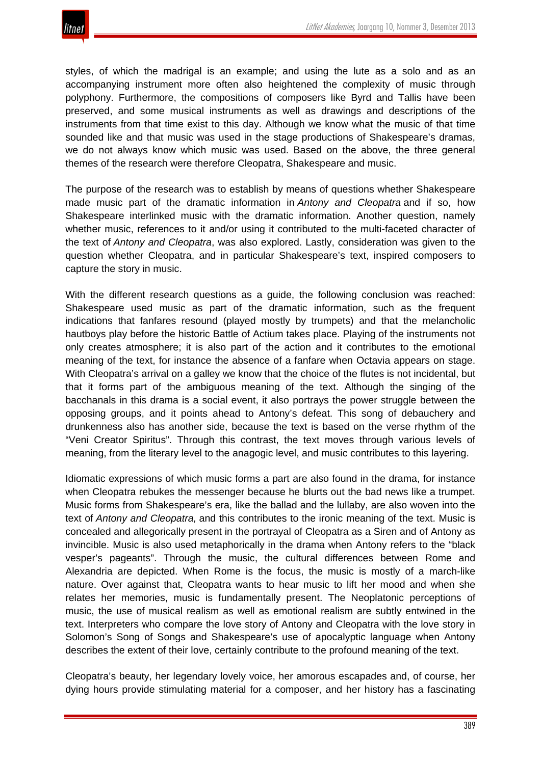styles, of which the madrigal is an example; and using the lute as a solo and as an accompanying instrument more often also heightened the complexity of music through polyphony. Furthermore, the compositions of composers like Byrd and Tallis have been preserved, and some musical instruments as well as drawings and descriptions of the instruments from that time exist to this day. Although we know what the music of that time sounded like and that music was used in the stage productions of Shakespeare's dramas, we do not always know which music was used. Based on the above, the three general themes of the research were therefore Cleopatra, Shakespeare and music.

The purpose of the research was to establish by means of questions whether Shakespeare made music part of the dramatic information in *Antony and Cleopatra* and if so, how Shakespeare interlinked music with the dramatic information. Another question, namely whether music, references to it and/or using it contributed to the multi-faceted character of the text of *Antony and Cleopatra*, was also explored. Lastly, consideration was given to the question whether Cleopatra, and in particular Shakespeare's text, inspired composers to capture the story in music.

With the different research questions as a guide, the following conclusion was reached: Shakespeare used music as part of the dramatic information, such as the frequent indications that fanfares resound (played mostly by trumpets) and that the melancholic hautboys play before the historic Battle of Actium takes place. Playing of the instruments not only creates atmosphere; it is also part of the action and it contributes to the emotional meaning of the text, for instance the absence of a fanfare when Octavia appears on stage. With Cleopatra's arrival on a galley we know that the choice of the flutes is not incidental, but that it forms part of the ambiguous meaning of the text. Although the singing of the bacchanals in this drama is a social event, it also portrays the power struggle between the opposing groups, and it points ahead to Antony's defeat. This song of debauchery and drunkenness also has another side, because the text is based on the verse rhythm of the "Veni Creator Spiritus". Through this contrast, the text moves through various levels of meaning, from the literary level to the anagogic level, and music contributes to this layering.

Idiomatic expressions of which music forms a part are also found in the drama, for instance when Cleopatra rebukes the messenger because he blurts out the bad news like a trumpet. Music forms from Shakespeare's era, like the ballad and the lullaby, are also woven into the text of *Antony and Cleopatra,* and this contributes to the ironic meaning of the text. Music is concealed and allegorically present in the portrayal of Cleopatra as a Siren and of Antony as invincible. Music is also used metaphorically in the drama when Antony refers to the "black vesper's pageants". Through the music, the cultural differences between Rome and Alexandria are depicted. When Rome is the focus, the music is mostly of a march-like nature. Over against that, Cleopatra wants to hear music to lift her mood and when she relates her memories, music is fundamentally present. The Neoplatonic perceptions of music, the use of musical realism as well as emotional realism are subtly entwined in the text. Interpreters who compare the love story of Antony and Cleopatra with the love story in Solomon's Song of Songs and Shakespeare's use of apocalyptic language when Antony describes the extent of their love, certainly contribute to the profound meaning of the text.

Cleopatra's beauty, her legendary lovely voice, her amorous escapades and, of course, her dying hours provide stimulating material for a composer, and her history has a fascinating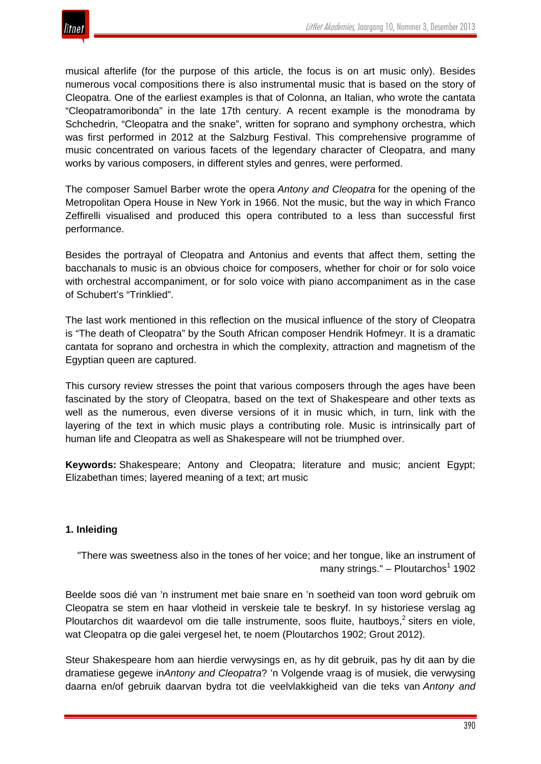

musical afterlife (for the purpose of this article, the focus is on art music only). Besides numerous vocal compositions there is also instrumental music that is based on the story of Cleopatra. One of the earliest examples is that of Colonna, an Italian, who wrote the cantata "Cleopatramoribonda" in the late 17th century. A recent example is the monodrama by Schchedrin, "Cleopatra and the snake", written for soprano and symphony orchestra, which was first performed in 2012 at the Salzburg Festival. This comprehensive programme of music concentrated on various facets of the legendary character of Cleopatra, and many works by various composers, in different styles and genres, were performed.

The composer Samuel Barber wrote the opera *Antony and Cleopatra* for the opening of the Metropolitan Opera House in New York in 1966. Not the music, but the way in which Franco Zeffirelli visualised and produced this opera contributed to a less than successful first performance.

Besides the portrayal of Cleopatra and Antonius and events that affect them, setting the bacchanals to music is an obvious choice for composers, whether for choir or for solo voice with orchestral accompaniment, or for solo voice with piano accompaniment as in the case of Schubert's "Trinklied".

The last work mentioned in this reflection on the musical influence of the story of Cleopatra is "The death of Cleopatra" by the South African composer Hendrik Hofmeyr. It is a dramatic cantata for soprano and orchestra in which the complexity, attraction and magnetism of the Egyptian queen are captured.

This cursory review stresses the point that various composers through the ages have been fascinated by the story of Cleopatra, based on the text of Shakespeare and other texts as well as the numerous, even diverse versions of it in music which, in turn, link with the layering of the text in which music plays a contributing role. Music is intrinsically part of human life and Cleopatra as well as Shakespeare will not be triumphed over.

**Keywords:** Shakespeare; Antony and Cleopatra; literature and music; ancient Egypt; Elizabethan times; layered meaning of a text; art music

#### **1. Inleiding**

"There was sweetness also in the tones of her voice; and her tongue, like an instrument of many strings." – Ploutarchos $1$  1902

Beelde soos dié van 'n instrument met baie snare en 'n soetheid van toon word gebruik om Cleopatra se stem en haar vlotheid in verskeie tale te beskryf. In sy historiese verslag ag Ploutarchos dit waardevol om die talle instrumente, soos fluite, hautboys,  $2$  siters en viole, wat Cleopatra op die galei vergesel het, te noem (Ploutarchos 1902; Grout 2012).

Steur Shakespeare hom aan hierdie verwysings en, as hy dit gebruik, pas hy dit aan by die dramatiese gegewe in*Antony and Cleopatra*? 'n Volgende vraag is of musiek, die verwysing daarna en/of gebruik daarvan bydra tot die veelvlakkigheid van die teks van *Antony and*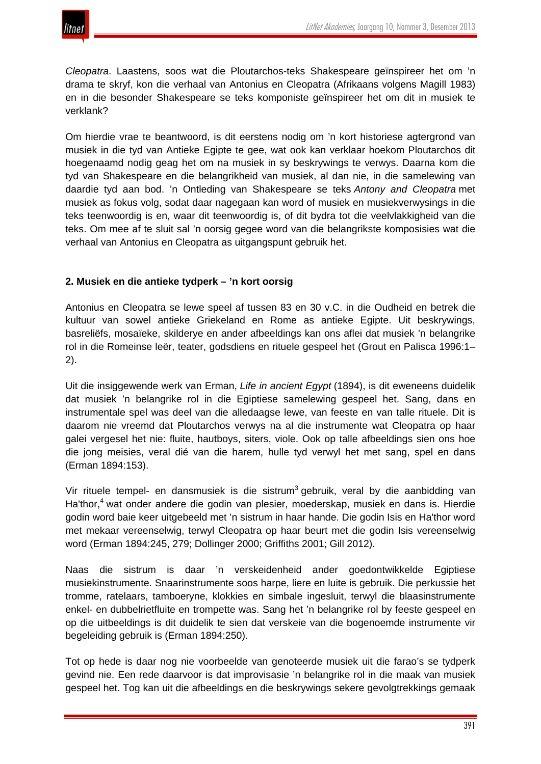

*Cleopatra*. Laastens, soos wat die Ploutarchos-teks Shakespeare geïnspireer het om 'n drama te skryf, kon die verhaal van Antonius en Cleopatra (Afrikaans volgens Magill 1983) en in die besonder Shakespeare se teks komponiste geïnspireer het om dit in musiek te verklank?

Om hierdie vrae te beantwoord, is dit eerstens nodig om 'n kort historiese agtergrond van musiek in die tyd van Antieke Egipte te gee, wat ook kan verklaar hoekom Ploutarchos dit hoegenaamd nodig geag het om na musiek in sy beskrywings te verwys. Daarna kom die tyd van Shakespeare en die belangrikheid van musiek, al dan nie, in die samelewing van daardie tyd aan bod. 'n Ontleding van Shakespeare se teks *Antony and Cleopatra* met musiek as fokus volg, sodat daar nagegaan kan word of musiek en musiekverwysings in die teks teenwoordig is en, waar dit teenwoordig is, of dit bydra tot die veelvlakkigheid van die teks. Om mee af te sluit sal 'n oorsig gegee word van die belangrikste komposisies wat die verhaal van Antonius en Cleopatra as uitgangspunt gebruik het.

# **2. Musiek en die antieke tydperk – 'n kort oorsig**

Antonius en Cleopatra se lewe speel af tussen 83 en 30 v.C. in die Oudheid en betrek die kultuur van sowel antieke Griekeland en Rome as antieke Egipte. Uit beskrywings, basreliëfs, mosaïeke, skilderye en ander afbeeldings kan ons aflei dat musiek 'n belangrike rol in die Romeinse leër, teater, godsdiens en rituele gespeel het (Grout en Palisca 1996:1– 2).

Uit die insiggewende werk van Erman, *Life in ancient Egypt* (1894), is dit eweneens duidelik dat musiek 'n belangrike rol in die Egiptiese samelewing gespeel het. Sang, dans en instrumentale spel was deel van die alledaagse lewe, van feeste en van talle rituele. Dit is daarom nie vreemd dat Ploutarchos verwys na al die instrumente wat Cleopatra op haar galei vergesel het nie: fluite, hautboys, siters, viole. Ook op talle afbeeldings sien ons hoe die jong meisies, veral dié van die harem, hulle tyd verwyl het met sang, spel en dans (Erman 1894:153).

Vir rituele tempel- en dansmusiek is die sistrum<sup>3</sup> gebruik, veral by die aanbidding van Ha'thor,<sup>4</sup> wat onder andere die godin van plesier, moederskap, musiek en dans is. Hierdie godin word baie keer uitgebeeld met 'n sistrum in haar hande. Die godin Isis en Ha'thor word met mekaar vereenselwig, terwyl Cleopatra op haar beurt met die godin Isis vereenselwig word (Erman 1894:245, 279; Dollinger 2000; Griffiths 2001; Gill 2012).

Naas die sistrum is daar 'n verskeidenheid ander goedontwikkelde Egiptiese musiekinstrumente. Snaarinstrumente soos harpe, liere en luite is gebruik. Die perkussie het tromme, ratelaars, tamboeryne, klokkies en simbale ingesluit, terwyl die blaasinstrumente enkel- en dubbelrietfluite en trompette was. Sang het 'n belangrike rol by feeste gespeel en op die uitbeeldings is dit duidelik te sien dat verskeie van die bogenoemde instrumente vir begeleiding gebruik is (Erman 1894:250).

Tot op hede is daar nog nie voorbeelde van genoteerde musiek uit die farao's se tydperk gevind nie. Een rede daarvoor is dat improvisasie 'n belangrike rol in die maak van musiek gespeel het. Tog kan uit die afbeeldings en die beskrywings sekere gevolgtrekkings gemaak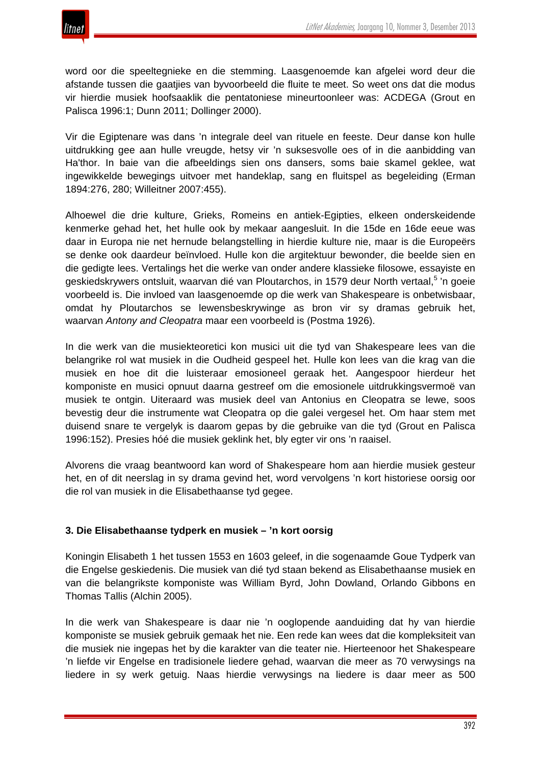

word oor die speeltegnieke en die stemming. Laasgenoemde kan afgelei word deur die afstande tussen die gaatjies van byvoorbeeld die fluite te meet. So weet ons dat die modus vir hierdie musiek hoofsaaklik die pentatoniese mineurtoonleer was: ACDEGA (Grout en Palisca 1996:1; Dunn 2011; Dollinger 2000).

Vir die Egiptenare was dans 'n integrale deel van rituele en feeste. Deur danse kon hulle uitdrukking gee aan hulle vreugde, hetsy vir 'n suksesvolle oes of in die aanbidding van Ha'thor. In baie van die afbeeldings sien ons dansers, soms baie skamel geklee, wat ingewikkelde bewegings uitvoer met handeklap, sang en fluitspel as begeleiding (Erman 1894:276, 280; Willeitner 2007:455).

Alhoewel die drie kulture, Grieks, Romeins en antiek-Egipties, elkeen onderskeidende kenmerke gehad het, het hulle ook by mekaar aangesluit. In die 15de en 16de eeue was daar in Europa nie net hernude belangstelling in hierdie kulture nie, maar is die Europeërs se denke ook daardeur beïnvloed. Hulle kon die argitektuur bewonder, die beelde sien en die gedigte lees. Vertalings het die werke van onder andere klassieke filosowe, essayiste en geskiedskrywers ontsluit, waarvan dié van Ploutarchos, in 1579 deur North vertaal,<sup>5</sup> 'n goeie voorbeeld is. Die invloed van laasgenoemde op die werk van Shakespeare is onbetwisbaar, omdat hy Ploutarchos se lewensbeskrywinge as bron vir sy dramas gebruik het, waarvan *Antony and Cleopatra* maar een voorbeeld is (Postma 1926).

In die werk van die musiekteoretici kon musici uit die tyd van Shakespeare lees van die belangrike rol wat musiek in die Oudheid gespeel het. Hulle kon lees van die krag van die musiek en hoe dit die luisteraar emosioneel geraak het. Aangespoor hierdeur het komponiste en musici opnuut daarna gestreef om die emosionele uitdrukkingsvermoë van musiek te ontgin. Uiteraard was musiek deel van Antonius en Cleopatra se lewe, soos bevestig deur die instrumente wat Cleopatra op die galei vergesel het. Om haar stem met duisend snare te vergelyk is daarom gepas by die gebruike van die tyd (Grout en Palisca 1996:152). Presies hóé die musiek geklink het, bly egter vir ons 'n raaisel.

Alvorens die vraag beantwoord kan word of Shakespeare hom aan hierdie musiek gesteur het, en of dit neerslag in sy drama gevind het, word vervolgens 'n kort historiese oorsig oor die rol van musiek in die Elisabethaanse tyd gegee.

# **3. Die Elisabethaanse tydperk en musiek – 'n kort oorsig**

Koningin Elisabeth 1 het tussen 1553 en 1603 geleef, in die sogenaamde Goue Tydperk van die Engelse geskiedenis. Die musiek van dié tyd staan bekend as Elisabethaanse musiek en van die belangrikste komponiste was William Byrd, John Dowland, Orlando Gibbons en Thomas Tallis (Alchin 2005).

In die werk van Shakespeare is daar nie 'n ooglopende aanduiding dat hy van hierdie komponiste se musiek gebruik gemaak het nie. Een rede kan wees dat die kompleksiteit van die musiek nie ingepas het by die karakter van die teater nie. Hierteenoor het Shakespeare 'n liefde vir Engelse en tradisionele liedere gehad, waarvan die meer as 70 verwysings na liedere in sy werk getuig. Naas hierdie verwysings na liedere is daar meer as 500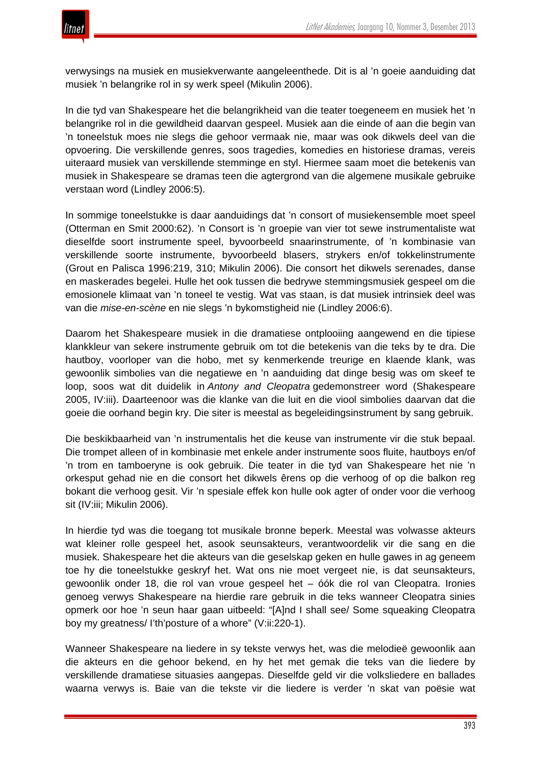

verwysings na musiek en musiekverwante aangeleenthede. Dit is al 'n goeie aanduiding dat musiek 'n belangrike rol in sy werk speel (Mikulin 2006).

In die tyd van Shakespeare het die belangrikheid van die teater toegeneem en musiek het 'n belangrike rol in die gewildheid daarvan gespeel. Musiek aan die einde of aan die begin van 'n toneelstuk moes nie slegs die gehoor vermaak nie, maar was ook dikwels deel van die opvoering. Die verskillende genres, soos tragedies, komedies en historiese dramas, vereis uiteraard musiek van verskillende stemminge en styl. Hiermee saam moet die betekenis van musiek in Shakespeare se dramas teen die agtergrond van die algemene musikale gebruike verstaan word (Lindley 2006:5).

In sommige toneelstukke is daar aanduidings dat 'n consort of musiekensemble moet speel (Otterman en Smit 2000:62). 'n Consort is 'n groepie van vier tot sewe instrumentaliste wat dieselfde soort instrumente speel, byvoorbeeld snaarinstrumente, of 'n kombinasie van verskillende soorte instrumente, byvoorbeeld blasers, strykers en/of tokkelinstrumente (Grout en Palisca 1996:219, 310; Mikulin 2006). Die consort het dikwels serenades, danse en maskerades begelei. Hulle het ook tussen die bedrywe stemmingsmusiek gespeel om die emosionele klimaat van 'n toneel te vestig. Wat vas staan, is dat musiek intrinsiek deel was van die *mise-en-scène* en nie slegs 'n bykomstigheid nie (Lindley 2006:6).

Daarom het Shakespeare musiek in die dramatiese ontplooiing aangewend en die tipiese klankkleur van sekere instrumente gebruik om tot die betekenis van die teks by te dra. Die hautboy, voorloper van die hobo, met sy kenmerkende treurige en klaende klank, was gewoonlik simbolies van die negatiewe en 'n aanduiding dat dinge besig was om skeef te loop, soos wat dit duidelik in *Antony and Cleopatra* gedemonstreer word (Shakespeare 2005, IV:iii). Daarteenoor was die klanke van die luit en die viool simbolies daarvan dat die goeie die oorhand begin kry. Die siter is meestal as begeleidingsinstrument by sang gebruik.

Die beskikbaarheid van 'n instrumentalis het die keuse van instrumente vir die stuk bepaal. Die trompet alleen of in kombinasie met enkele ander instrumente soos fluite, hautboys en/of 'n trom en tamboeryne is ook gebruik. Die teater in die tyd van Shakespeare het nie 'n orkesput gehad nie en die consort het dikwels êrens op die verhoog of op die balkon reg bokant die verhoog gesit. Vir 'n spesiale effek kon hulle ook agter of onder voor die verhoog sit (IV:iii; Mikulin 2006).

In hierdie tyd was die toegang tot musikale bronne beperk. Meestal was volwasse akteurs wat kleiner rolle gespeel het, asook seunsakteurs, verantwoordelik vir die sang en die musiek. Shakespeare het die akteurs van die geselskap geken en hulle gawes in ag geneem toe hy die toneelstukke geskryf het. Wat ons nie moet vergeet nie, is dat seunsakteurs, gewoonlik onder 18, die rol van vroue gespeel het – óók die rol van Cleopatra. Ironies genoeg verwys Shakespeare na hierdie rare gebruik in die teks wanneer Cleopatra sinies opmerk oor hoe 'n seun haar gaan uitbeeld: "[A]nd I shall see/ Some squeaking Cleopatra boy my greatness/ I'th'posture of a whore" (V:ii:220-1).

Wanneer Shakespeare na liedere in sy tekste verwys het, was die melodieë gewoonlik aan die akteurs en die gehoor bekend, en hy het met gemak die teks van die liedere by verskillende dramatiese situasies aangepas. Dieselfde geld vir die volksliedere en ballades waarna verwys is. Baie van die tekste vir die liedere is verder 'n skat van poësie wat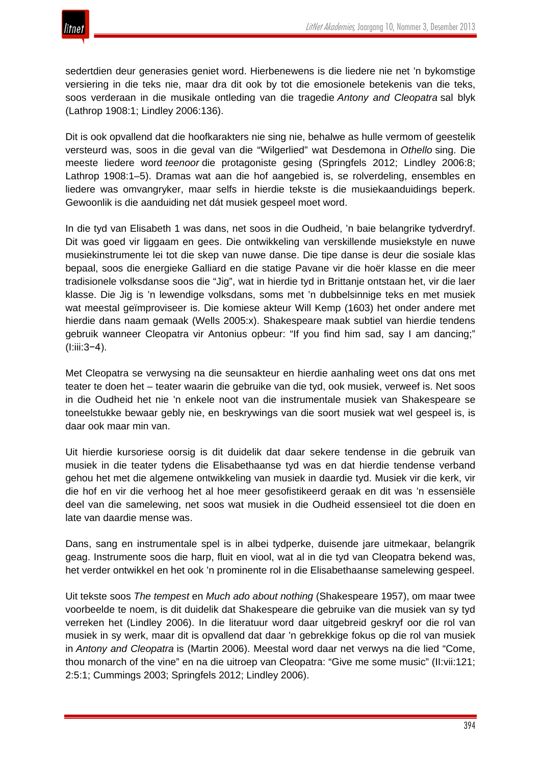

sedertdien deur generasies geniet word. Hierbenewens is die liedere nie net 'n bykomstige versiering in die teks nie, maar dra dit ook by tot die emosionele betekenis van die teks, soos verderaan in die musikale ontleding van die tragedie *Antony and Cleopatra* sal blyk (Lathrop 1908:1; Lindley 2006:136).

Dit is ook opvallend dat die hoofkarakters nie sing nie, behalwe as hulle vermom of geestelik versteurd was, soos in die geval van die "Wilgerlied" wat Desdemona in *Othello* sing. Die meeste liedere word *teenoor* die protagoniste gesing (Springfels 2012; Lindley 2006:8; Lathrop 1908:1–5). Dramas wat aan die hof aangebied is, se rolverdeling, ensembles en liedere was omvangryker, maar selfs in hierdie tekste is die musiekaanduidings beperk. Gewoonlik is die aanduiding net dát musiek gespeel moet word.

In die tyd van Elisabeth 1 was dans, net soos in die Oudheid, 'n baie belangrike tydverdryf. Dit was goed vir liggaam en gees. Die ontwikkeling van verskillende musiekstyle en nuwe musiekinstrumente lei tot die skep van nuwe danse. Die tipe danse is deur die sosiale klas bepaal, soos die energieke Galliard en die statige Pavane vir die hoër klasse en die meer tradisionele volksdanse soos die "Jig", wat in hierdie tyd in Brittanje ontstaan het, vir die laer klasse. Die Jig is 'n lewendige volksdans, soms met 'n dubbelsinnige teks en met musiek wat meestal geïmproviseer is. Die komiese akteur Will Kemp (1603) het onder andere met hierdie dans naam gemaak (Wells 2005:x). Shakespeare maak subtiel van hierdie tendens gebruik wanneer Cleopatra vir Antonius opbeur: "If you find him sad, say I am dancing;" (I:iii:3−4).

Met Cleopatra se verwysing na die seunsakteur en hierdie aanhaling weet ons dat ons met teater te doen het – teater waarin die gebruike van die tyd, ook musiek, verweef is. Net soos in die Oudheid het nie 'n enkele noot van die instrumentale musiek van Shakespeare se toneelstukke bewaar gebly nie, en beskrywings van die soort musiek wat wel gespeel is, is daar ook maar min van.

Uit hierdie kursoriese oorsig is dit duidelik dat daar sekere tendense in die gebruik van musiek in die teater tydens die Elisabethaanse tyd was en dat hierdie tendense verband gehou het met die algemene ontwikkeling van musiek in daardie tyd. Musiek vir die kerk, vir die hof en vir die verhoog het al hoe meer gesofistikeerd geraak en dit was 'n essensiële deel van die samelewing, net soos wat musiek in die Oudheid essensieel tot die doen en late van daardie mense was.

Dans, sang en instrumentale spel is in albei tydperke, duisende jare uitmekaar, belangrik geag. Instrumente soos die harp, fluit en viool, wat al in die tyd van Cleopatra bekend was, het verder ontwikkel en het ook 'n prominente rol in die Elisabethaanse samelewing gespeel.

Uit tekste soos *The tempest* en *Much ado about nothing* (Shakespeare 1957), om maar twee voorbeelde te noem, is dit duidelik dat Shakespeare die gebruike van die musiek van sy tyd verreken het (Lindley 2006). In die literatuur word daar uitgebreid geskryf oor die rol van musiek in sy werk, maar dit is opvallend dat daar 'n gebrekkige fokus op die rol van musiek in *Antony and Cleopatra* is (Martin 2006). Meestal word daar net verwys na die lied "Come, thou monarch of the vine" en na die uitroep van Cleopatra: "Give me some music" (II:vii:121; 2:5:1; Cummings 2003; Springfels 2012; Lindley 2006).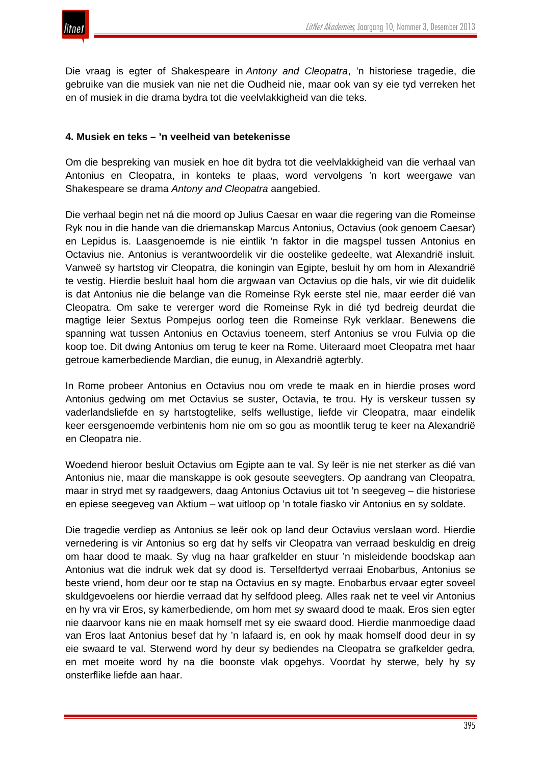

Die vraag is egter of Shakespeare in *Antony and Cleopatra*, 'n historiese tragedie, die gebruike van die musiek van nie net die Oudheid nie, maar ook van sy eie tyd verreken het en of musiek in die drama bydra tot die veelvlakkigheid van die teks.

#### **4. Musiek en teks – 'n veelheid van betekenisse**

Om die bespreking van musiek en hoe dit bydra tot die veelvlakkigheid van die verhaal van Antonius en Cleopatra, in konteks te plaas, word vervolgens 'n kort weergawe van Shakespeare se drama *Antony and Cleopatra* aangebied.

Die verhaal begin net ná die moord op Julius Caesar en waar die regering van die Romeinse Ryk nou in die hande van die driemanskap Marcus Antonius, Octavius (ook genoem Caesar) en Lepidus is. Laasgenoemde is nie eintlik 'n faktor in die magspel tussen Antonius en Octavius nie. Antonius is verantwoordelik vir die oostelike gedeelte, wat Alexandrië insluit. Vanweë sy hartstog vir Cleopatra, die koningin van Egipte, besluit hy om hom in Alexandrië te vestig. Hierdie besluit haal hom die argwaan van Octavius op die hals, vir wie dit duidelik is dat Antonius nie die belange van die Romeinse Ryk eerste stel nie, maar eerder dié van Cleopatra. Om sake te vererger word die Romeinse Ryk in dié tyd bedreig deurdat die magtige leier Sextus Pompejus oorlog teen die Romeinse Ryk verklaar. Benewens die spanning wat tussen Antonius en Octavius toeneem, sterf Antonius se vrou Fulvia op die koop toe. Dit dwing Antonius om terug te keer na Rome. Uiteraard moet Cleopatra met haar getroue kamerbediende Mardian, die eunug, in Alexandrië agterbly.

In Rome probeer Antonius en Octavius nou om vrede te maak en in hierdie proses word Antonius gedwing om met Octavius se suster, Octavia, te trou. Hy is verskeur tussen sy vaderlandsliefde en sy hartstogtelike, selfs wellustige, liefde vir Cleopatra, maar eindelik keer eersgenoemde verbintenis hom nie om so gou as moontlik terug te keer na Alexandrië en Cleopatra nie.

Woedend hieroor besluit Octavius om Egipte aan te val. Sy leër is nie net sterker as dié van Antonius nie, maar die manskappe is ook gesoute seevegters. Op aandrang van Cleopatra, maar in stryd met sy raadgewers, daag Antonius Octavius uit tot 'n seegeveg – die historiese en epiese seegeveg van Aktium – wat uitloop op 'n totale fiasko vir Antonius en sy soldate.

Die tragedie verdiep as Antonius se leër ook op land deur Octavius verslaan word. Hierdie vernedering is vir Antonius so erg dat hy selfs vir Cleopatra van verraad beskuldig en dreig om haar dood te maak. Sy vlug na haar grafkelder en stuur 'n misleidende boodskap aan Antonius wat die indruk wek dat sy dood is. Terselfdertyd verraai Enobarbus, Antonius se beste vriend, hom deur oor te stap na Octavius en sy magte. Enobarbus ervaar egter soveel skuldgevoelens oor hierdie verraad dat hy selfdood pleeg. Alles raak net te veel vir Antonius en hy vra vir Eros, sy kamerbediende, om hom met sy swaard dood te maak. Eros sien egter nie daarvoor kans nie en maak homself met sy eie swaard dood. Hierdie manmoedige daad van Eros laat Antonius besef dat hy 'n lafaard is, en ook hy maak homself dood deur in sy eie swaard te val. Sterwend word hy deur sy bediendes na Cleopatra se grafkelder gedra, en met moeite word hy na die boonste vlak opgehys. Voordat hy sterwe, bely hy sy onsterflike liefde aan haar.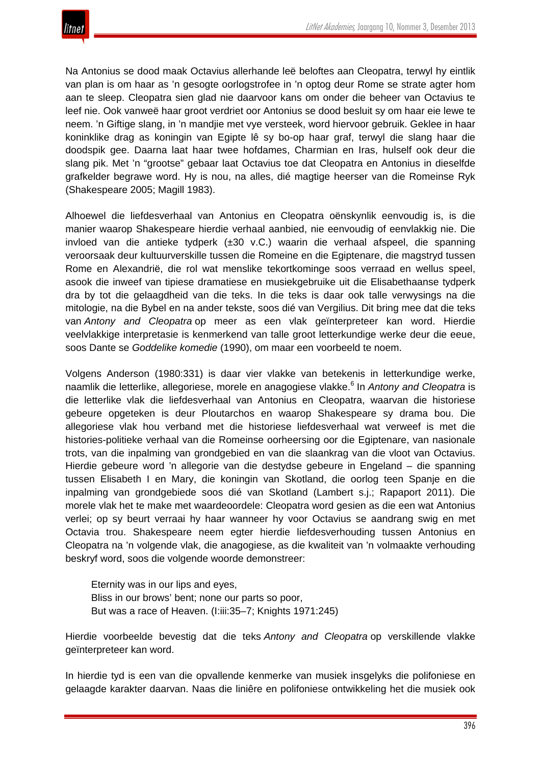

Na Antonius se dood maak Octavius allerhande leë beloftes aan Cleopatra, terwyl hy eintlik van plan is om haar as 'n gesogte oorlogstrofee in 'n optog deur Rome se strate agter hom aan te sleep. Cleopatra sien glad nie daarvoor kans om onder die beheer van Octavius te leef nie. Ook vanweë haar groot verdriet oor Antonius se dood besluit sy om haar eie lewe te neem. 'n Giftige slang, in 'n mandjie met vye versteek, word hiervoor gebruik. Geklee in haar koninklike drag as koningin van Egipte lê sy bo-op haar graf, terwyl die slang haar die doodspik gee. Daarna laat haar twee hofdames, Charmian en Iras, hulself ook deur die slang pik. Met 'n "grootse" gebaar laat Octavius toe dat Cleopatra en Antonius in dieselfde grafkelder begrawe word. Hy is nou, na alles, dié magtige heerser van die Romeinse Ryk (Shakespeare 2005; Magill 1983).

Alhoewel die liefdesverhaal van Antonius en Cleopatra oënskynlik eenvoudig is, is die manier waarop Shakespeare hierdie verhaal aanbied, nie eenvoudig of eenvlakkig nie. Die invloed van die antieke tydperk (±30 v.C.) waarin die verhaal afspeel, die spanning veroorsaak deur kultuurverskille tussen die Romeine en die Egiptenare, die magstryd tussen Rome en Alexandrië, die rol wat menslike tekortkominge soos verraad en wellus speel, asook die inweef van tipiese dramatiese en musiekgebruike uit die Elisabethaanse tydperk dra by tot die gelaagdheid van die teks. In die teks is daar ook talle verwysings na die mitologie, na die Bybel en na ander tekste, soos dié van Vergilius. Dit bring mee dat die teks van *Antony and Cleopatra* op meer as een vlak geïnterpreteer kan word. Hierdie veelvlakkige interpretasie is kenmerkend van talle groot letterkundige werke deur die eeue, soos Dante se *Goddelike komedie* (1990), om maar een voorbeeld te noem.

Volgens Anderson (1980:331) is daar vier vlakke van betekenis in letterkundige werke, naamlik die letterlike, allegoriese, morele en anagogiese vlakke.<sup>6</sup> In *Antony and Cleopatra* is die letterlike vlak die liefdesverhaal van Antonius en Cleopatra, waarvan die historiese gebeure opgeteken is deur Ploutarchos en waarop Shakespeare sy drama bou. Die allegoriese vlak hou verband met die historiese liefdesverhaal wat verweef is met die histories-politieke verhaal van die Romeinse oorheersing oor die Egiptenare, van nasionale trots, van die inpalming van grondgebied en van die slaankrag van die vloot van Octavius. Hierdie gebeure word 'n allegorie van die destydse gebeure in Engeland – die spanning tussen Elisabeth I en Mary, die koningin van Skotland, die oorlog teen Spanje en die inpalming van grondgebiede soos dié van Skotland (Lambert s.j.; Rapaport 2011). Die morele vlak het te make met waardeoordele: Cleopatra word gesien as die een wat Antonius verlei; op sy beurt verraai hy haar wanneer hy voor Octavius se aandrang swig en met Octavia trou. Shakespeare neem egter hierdie liefdesverhouding tussen Antonius en Cleopatra na 'n volgende vlak, die anagogiese, as die kwaliteit van 'n volmaakte verhouding beskryf word, soos die volgende woorde demonstreer:

Eternity was in our lips and eyes, Bliss in our brows' bent; none our parts so poor, But was a race of Heaven. (I:iii:35–7; Knights 1971:245)

Hierdie voorbeelde bevestig dat die teks *Antony and Cleopatra* op verskillende vlakke geïnterpreteer kan word.

In hierdie tyd is een van die opvallende kenmerke van musiek insgelyks die polifoniese en gelaagde karakter daarvan. Naas die liniêre en polifoniese ontwikkeling het die musiek ook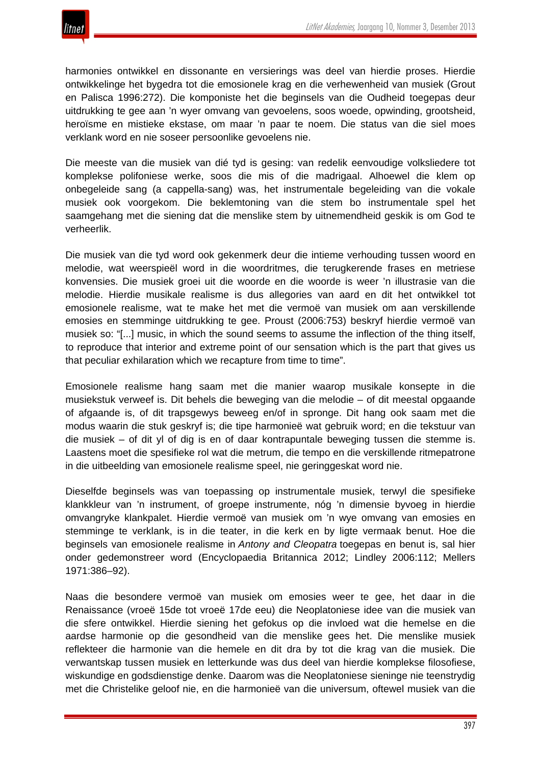

harmonies ontwikkel en dissonante en versierings was deel van hierdie proses. Hierdie ontwikkelinge het bygedra tot die emosionele krag en die verhewenheid van musiek (Grout en Palisca 1996:272). Die komponiste het die beginsels van die Oudheid toegepas deur uitdrukking te gee aan 'n wyer omvang van gevoelens, soos woede, opwinding, grootsheid, heroïsme en mistieke ekstase, om maar 'n paar te noem. Die status van die siel moes verklank word en nie soseer persoonlike gevoelens nie.

Die meeste van die musiek van dié tyd is gesing: van redelik eenvoudige volksliedere tot komplekse polifoniese werke, soos die mis of die madrigaal. Alhoewel die klem op onbegeleide sang (a cappella-sang) was, het instrumentale begeleiding van die vokale musiek ook voorgekom. Die beklemtoning van die stem bo instrumentale spel het saamgehang met die siening dat die menslike stem by uitnemendheid geskik is om God te verheerlik.

Die musiek van die tyd word ook gekenmerk deur die intieme verhouding tussen woord en melodie, wat weerspieël word in die woordritmes, die terugkerende frases en metriese konvensies. Die musiek groei uit die woorde en die woorde is weer 'n illustrasie van die melodie. Hierdie musikale realisme is dus allegories van aard en dit het ontwikkel tot emosionele realisme, wat te make het met die vermoë van musiek om aan verskillende emosies en stemminge uitdrukking te gee. Proust (2006:753) beskryf hierdie vermoë van musiek so: "[...] music, in which the sound seems to assume the inflection of the thing itself, to reproduce that interior and extreme point of our sensation which is the part that gives us that peculiar exhilaration which we recapture from time to time".

Emosionele realisme hang saam met die manier waarop musikale konsepte in die musiekstuk verweef is. Dit behels die beweging van die melodie – of dit meestal opgaande of afgaande is, of dit trapsgewys beweeg en/of in spronge. Dit hang ook saam met die modus waarin die stuk geskryf is; die tipe harmonieë wat gebruik word; en die tekstuur van die musiek – of dit yl of dig is en of daar kontrapuntale beweging tussen die stemme is. Laastens moet die spesifieke rol wat die metrum, die tempo en die verskillende ritmepatrone in die uitbeelding van emosionele realisme speel, nie geringgeskat word nie.

Dieselfde beginsels was van toepassing op instrumentale musiek, terwyl die spesifieke klankkleur van 'n instrument, of groepe instrumente, nóg 'n dimensie byvoeg in hierdie omvangryke klankpalet. Hierdie vermoë van musiek om 'n wye omvang van emosies en stemminge te verklank, is in die teater, in die kerk en by ligte vermaak benut. Hoe die beginsels van emosionele realisme in *Antony and Cleopatra* toegepas en benut is, sal hier onder gedemonstreer word (Encyclopaedia Britannica 2012; Lindley 2006:112; Mellers 1971:386–92).

Naas die besondere vermoë van musiek om emosies weer te gee, het daar in die Renaissance (vroeë 15de tot vroeë 17de eeu) die Neoplatoniese idee van die musiek van die sfere ontwikkel. Hierdie siening het gefokus op die invloed wat die hemelse en die aardse harmonie op die gesondheid van die menslike gees het. Die menslike musiek reflekteer die harmonie van die hemele en dit dra by tot die krag van die musiek. Die verwantskap tussen musiek en letterkunde was dus deel van hierdie komplekse filosofiese, wiskundige en godsdienstige denke. Daarom was die Neoplatoniese sieninge nie teenstrydig met die Christelike geloof nie, en die harmonieë van die universum, oftewel musiek van die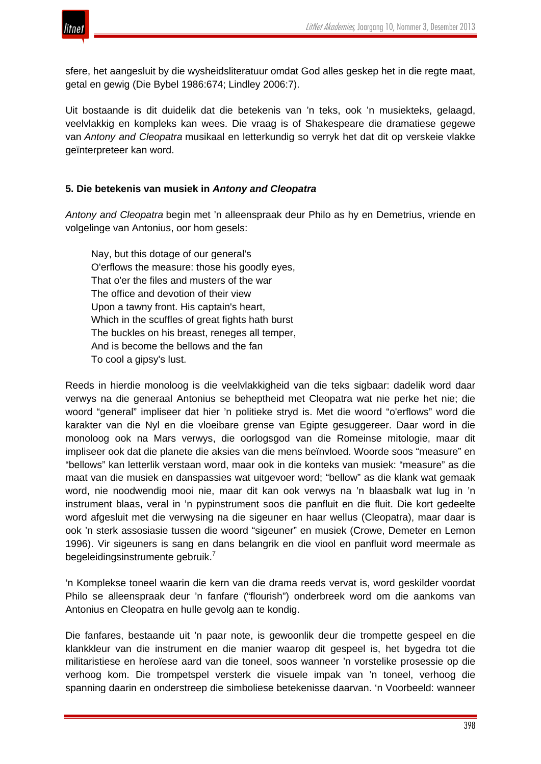

sfere, het aangesluit by die wysheidsliteratuur omdat God alles geskep het in die regte maat, getal en gewig (Die Bybel 1986:674; Lindley 2006:7).

Uit bostaande is dit duidelik dat die betekenis van 'n teks, ook 'n musiekteks, gelaagd, veelvlakkig en kompleks kan wees. Die vraag is of Shakespeare die dramatiese gegewe van *Antony and Cleopatra* musikaal en letterkundig so verryk het dat dit op verskeie vlakke geïnterpreteer kan word.

## **5. Die betekenis van musiek in** *Antony and Cleopatra*

*Antony and Cleopatra* begin met 'n alleenspraak deur Philo as hy en Demetrius, vriende en volgelinge van Antonius, oor hom gesels:

Nay, but this dotage of our general's O'erflows the measure: those his goodly eyes, That o'er the files and musters of the war The office and devotion of their view Upon a tawny front. His captain's heart, Which in the scuffles of great fights hath burst The buckles on his breast, reneges all temper, And is become the bellows and the fan To cool a gipsy's lust.

Reeds in hierdie monoloog is die veelvlakkigheid van die teks sigbaar: dadelik word daar verwys na die generaal Antonius se beheptheid met Cleopatra wat nie perke het nie; die woord "general" impliseer dat hier 'n politieke stryd is. Met die woord "o'erflows" word die karakter van die Nyl en die vloeibare grense van Egipte gesuggereer. Daar word in die monoloog ook na Mars verwys, die oorlogsgod van die Romeinse mitologie, maar dit impliseer ook dat die planete die aksies van die mens beïnvloed. Woorde soos "measure" en "bellows" kan letterlik verstaan word, maar ook in die konteks van musiek: "measure" as die maat van die musiek en danspassies wat uitgevoer word; "bellow" as die klank wat gemaak word, nie noodwendig mooi nie, maar dit kan ook verwys na 'n blaasbalk wat lug in 'n instrument blaas, veral in 'n pypinstrument soos die panfluit en die fluit. Die kort gedeelte word afgesluit met die verwysing na die sigeuner en haar wellus (Cleopatra), maar daar is ook 'n sterk assosiasie tussen die woord "sigeuner" en musiek (Crowe, Demeter en Lemon 1996). Vir sigeuners is sang en dans belangrik en die viool en panfluit word meermale as begeleidingsinstrumente gebruik.<sup>7</sup>

'n Komplekse toneel waarin die kern van die drama reeds vervat is, word geskilder voordat Philo se alleenspraak deur 'n fanfare ("flourish") onderbreek word om die aankoms van Antonius en Cleopatra en hulle gevolg aan te kondig.

Die fanfares, bestaande uit 'n paar note, is gewoonlik deur die trompette gespeel en die klankkleur van die instrument en die manier waarop dit gespeel is, het bygedra tot die militaristiese en heroïese aard van die toneel, soos wanneer 'n vorstelike prosessie op die verhoog kom. Die trompetspel versterk die visuele impak van 'n toneel, verhoog die spanning daarin en onderstreep die simboliese betekenisse daarvan. 'n Voorbeeld: wanneer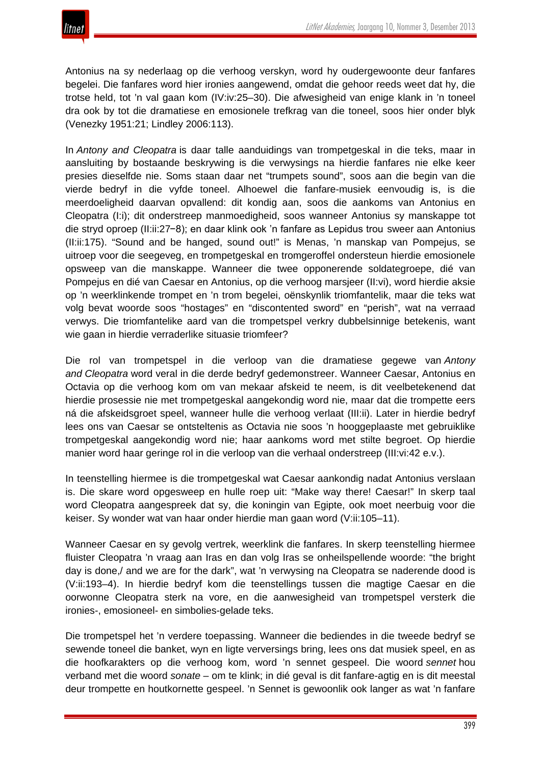Antonius na sy nederlaag op die verhoog verskyn, word hy oudergewoonte deur fanfares begelei. Die fanfares word hier ironies aangewend, omdat die gehoor reeds weet dat hy, die trotse held, tot 'n val gaan kom (IV:iv:25–30). Die afwesigheid van enige klank in 'n toneel dra ook by tot die dramatiese en emosionele trefkrag van die toneel, soos hier onder blyk (Venezky 1951:21; Lindley 2006:113).

In *Antony and Cleopatra* is daar talle aanduidings van trompetgeskal in die teks, maar in aansluiting by bostaande beskrywing is die verwysings na hierdie fanfares nie elke keer presies dieselfde nie. Soms staan daar net "trumpets sound", soos aan die begin van die vierde bedryf in die vyfde toneel. Alhoewel die fanfare-musiek eenvoudig is, is die meerdoeligheid daarvan opvallend: dit kondig aan, soos die aankoms van Antonius en Cleopatra (I:i); dit onderstreep manmoedigheid, soos wanneer Antonius sy manskappe tot die stryd oproep (II:ii:27−8); en daar klink ook 'n fanfare as Lepidus trou sweer aan Antonius (II:ii:175). "Sound and be hanged, sound out!" is Menas, 'n manskap van Pompejus, se uitroep voor die seegeveg, en trompetgeskal en tromgeroffel ondersteun hierdie emosionele opsweep van die manskappe. Wanneer die twee opponerende soldategroepe, dié van Pompejus en dié van Caesar en Antonius, op die verhoog marsjeer (II:vi), word hierdie aksie op 'n weerklinkende trompet en 'n trom begelei, oënskynlik triomfantelik, maar die teks wat volg bevat woorde soos "hostages" en "discontented sword" en "perish", wat na verraad verwys. Die triomfantelike aard van die trompetspel verkry dubbelsinnige betekenis, want wie gaan in hierdie verraderlike situasie triomfeer?

Die rol van trompetspel in die verloop van die dramatiese gegewe van *Antony and Cleopatra* word veral in die derde bedryf gedemonstreer. Wanneer Caesar, Antonius en Octavia op die verhoog kom om van mekaar afskeid te neem, is dit veelbetekenend dat hierdie prosessie nie met trompetgeskal aangekondig word nie, maar dat die trompette eers ná die afskeidsgroet speel, wanneer hulle die verhoog verlaat (III:ii). Later in hierdie bedryf lees ons van Caesar se ontsteltenis as Octavia nie soos 'n hooggeplaaste met gebruiklike trompetgeskal aangekondig word nie; haar aankoms word met stilte begroet. Op hierdie manier word haar geringe rol in die verloop van die verhaal onderstreep (III:vi:42 e.v.).

In teenstelling hiermee is die trompetgeskal wat Caesar aankondig nadat Antonius verslaan is. Die skare word opgesweep en hulle roep uit: "Make way there! Caesar!" In skerp taal word Cleopatra aangespreek dat sy, die koningin van Egipte, ook moet neerbuig voor die keiser. Sy wonder wat van haar onder hierdie man gaan word (V:ii:105–11).

Wanneer Caesar en sy gevolg vertrek, weerklink die fanfares. In skerp teenstelling hiermee fluister Cleopatra 'n vraag aan Iras en dan volg Iras se onheilspellende woorde: "the bright day is done,/ and we are for the dark", wat 'n verwysing na Cleopatra se naderende dood is (V:ii:193–4). In hierdie bedryf kom die teenstellings tussen die magtige Caesar en die oorwonne Cleopatra sterk na vore, en die aanwesigheid van trompetspel versterk die ironies-, emosioneel- en simbolies-gelade teks.

Die trompetspel het 'n verdere toepassing. Wanneer die bediendes in die tweede bedryf se sewende toneel die banket, wyn en ligte verversings bring, lees ons dat musiek speel, en as die hoofkarakters op die verhoog kom, word 'n sennet gespeel. Die woord *sennet* hou verband met die woord *sonate* – om te klink; in dié geval is dit fanfare-agtig en is dit meestal deur trompette en houtkornette gespeel. 'n Sennet is gewoonlik ook langer as wat 'n fanfare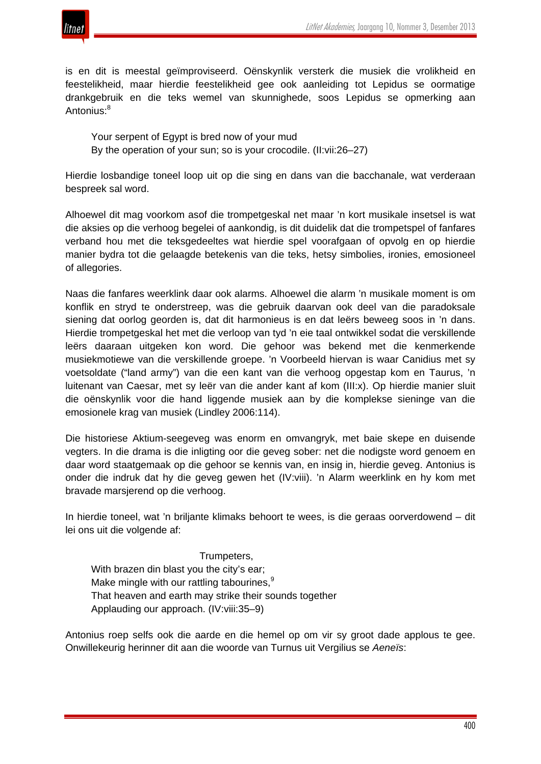

is en dit is meestal geïmproviseerd. Oënskynlik versterk die musiek die vrolikheid en feestelikheid, maar hierdie feestelikheid gee ook aanleiding tot Lepidus se oormatige drankgebruik en die teks wemel van skunnighede, soos Lepidus se opmerking aan Antonius:<sup>8</sup>

Your serpent of Egypt is bred now of your mud By the operation of your sun; so is your crocodile. (II:vii:26–27)

Hierdie losbandige toneel loop uit op die sing en dans van die bacchanale, wat verderaan bespreek sal word.

Alhoewel dit mag voorkom asof die trompetgeskal net maar 'n kort musikale insetsel is wat die aksies op die verhoog begelei of aankondig, is dit duidelik dat die trompetspel of fanfares verband hou met die teksgedeeltes wat hierdie spel voorafgaan of opvolg en op hierdie manier bydra tot die gelaagde betekenis van die teks, hetsy simbolies, ironies, emosioneel of allegories.

Naas die fanfares weerklink daar ook alarms. Alhoewel die alarm 'n musikale moment is om konflik en stryd te onderstreep, was die gebruik daarvan ook deel van die paradoksale siening dat oorlog georden is, dat dit harmonieus is en dat leërs beweeg soos in 'n dans. Hierdie trompetgeskal het met die verloop van tyd 'n eie taal ontwikkel sodat die verskillende leërs daaraan uitgeken kon word. Die gehoor was bekend met die kenmerkende musiekmotiewe van die verskillende groepe. 'n Voorbeeld hiervan is waar Canidius met sy voetsoldate ("land army") van die een kant van die verhoog opgestap kom en Taurus, 'n luitenant van Caesar, met sy leër van die ander kant af kom (III:x). Op hierdie manier sluit die oënskynlik voor die hand liggende musiek aan by die komplekse sieninge van die emosionele krag van musiek (Lindley 2006:114).

Die historiese Aktium-seegeveg was enorm en omvangryk, met baie skepe en duisende vegters. In die drama is die inligting oor die geveg sober: net die nodigste word genoem en daar word staatgemaak op die gehoor se kennis van, en insig in, hierdie geveg. Antonius is onder die indruk dat hy die geveg gewen het (IV:viii). 'n Alarm weerklink en hy kom met bravade marsjerend op die verhoog.

In hierdie toneel, wat 'n briljante klimaks behoort te wees, is die geraas oorverdowend – dit lei ons uit die volgende af:

Trumpeters,

With brazen din blast you the city's ear; Make mingle with our rattling tabourines,<sup>9</sup> That heaven and earth may strike their sounds together Applauding our approach. (IV:viii:35–9)

Antonius roep selfs ook die aarde en die hemel op om vir sy groot dade applous te gee. Onwillekeurig herinner dit aan die woorde van Turnus uit Vergilius se *Aeneïs*: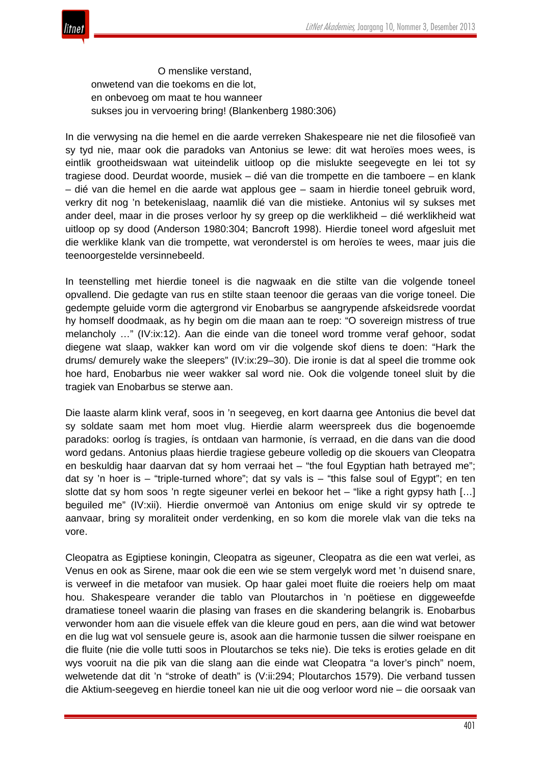

 O menslike verstand, onwetend van die toekoms en die lot, en onbevoeg om maat te hou wanneer sukses jou in vervoering bring! (Blankenberg 1980:306)

In die verwysing na die hemel en die aarde verreken Shakespeare nie net die filosofieë van sy tyd nie, maar ook die paradoks van Antonius se lewe: dit wat heroïes moes wees, is eintlik grootheidswaan wat uiteindelik uitloop op die mislukte seegevegte en lei tot sy tragiese dood. Deurdat woorde, musiek – dié van die trompette en die tamboere – en klank – dié van die hemel en die aarde wat applous gee – saam in hierdie toneel gebruik word, verkry dit nog 'n betekenislaag, naamlik dié van die mistieke. Antonius wil sy sukses met ander deel, maar in die proses verloor hy sy greep op die werklikheid – dié werklikheid wat uitloop op sy dood (Anderson 1980:304; Bancroft 1998). Hierdie toneel word afgesluit met die werklike klank van die trompette, wat veronderstel is om heroïes te wees, maar juis die teenoorgestelde versinnebeeld.

In teenstelling met hierdie toneel is die nagwaak en die stilte van die volgende toneel opvallend. Die gedagte van rus en stilte staan teenoor die geraas van die vorige toneel. Die gedempte geluide vorm die agtergrond vir Enobarbus se aangrypende afskeidsrede voordat hy homself doodmaak, as hy begin om die maan aan te roep: "O sovereign mistress of true melancholy …" (IV:ix:12). Aan die einde van die toneel word tromme veraf gehoor, sodat diegene wat slaap, wakker kan word om vir die volgende skof diens te doen: "Hark the drums/ demurely wake the sleepers" (IV:ix:29–30). Die ironie is dat al speel die tromme ook hoe hard, Enobarbus nie weer wakker sal word nie. Ook die volgende toneel sluit by die tragiek van Enobarbus se sterwe aan.

Die laaste alarm klink veraf, soos in 'n seegeveg, en kort daarna gee Antonius die bevel dat sy soldate saam met hom moet vlug. Hierdie alarm weerspreek dus die bogenoemde paradoks: oorlog ís tragies, ís ontdaan van harmonie, ís verraad, en die dans van die dood word gedans. Antonius plaas hierdie tragiese gebeure volledig op die skouers van Cleopatra en beskuldig haar daarvan dat sy hom verraai het – "the foul Egyptian hath betrayed me"; dat sy 'n hoer is – "triple-turned whore"; dat sy vals is – "this false soul of Egypt"; en ten slotte dat sy hom soos 'n regte sigeuner verlei en bekoor het – "like a right gypsy hath […] beguiled me" (IV:xii). Hierdie onvermoë van Antonius om enige skuld vir sy optrede te aanvaar, bring sy moraliteit onder verdenking, en so kom die morele vlak van die teks na vore.

Cleopatra as Egiptiese koningin, Cleopatra as sigeuner, Cleopatra as die een wat verlei, as Venus en ook as Sirene, maar ook die een wie se stem vergelyk word met 'n duisend snare, is verweef in die metafoor van musiek. Op haar galei moet fluite die roeiers help om maat hou. Shakespeare verander die tablo van Ploutarchos in 'n poëtiese en diggeweefde dramatiese toneel waarin die plasing van frases en die skandering belangrik is. Enobarbus verwonder hom aan die visuele effek van die kleure goud en pers, aan die wind wat betower en die lug wat vol sensuele geure is, asook aan die harmonie tussen die silwer roeispane en die fluite (nie die volle tutti soos in Ploutarchos se teks nie). Die teks is eroties gelade en dit wys vooruit na die pik van die slang aan die einde wat Cleopatra "a lover's pinch" noem, welwetende dat dit 'n "stroke of death" is (V:ii:294; Ploutarchos 1579). Die verband tussen die Aktium-seegeveg en hierdie toneel kan nie uit die oog verloor word nie – die oorsaak van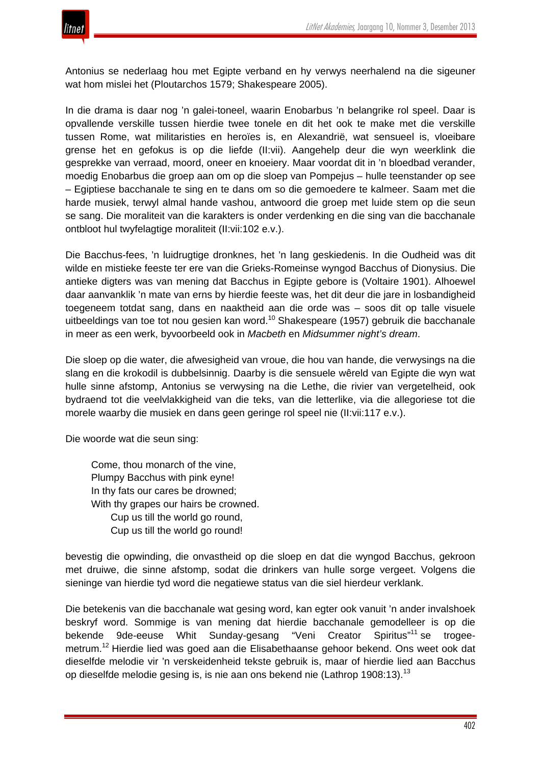Antonius se nederlaag hou met Egipte verband en hy verwys neerhalend na die sigeuner wat hom mislei het (Ploutarchos 1579; Shakespeare 2005).

In die drama is daar nog 'n galei-toneel, waarin Enobarbus 'n belangrike rol speel. Daar is opvallende verskille tussen hierdie twee tonele en dit het ook te make met die verskille tussen Rome, wat militaristies en heroïes is, en Alexandrië, wat sensueel is, vloeibare grense het en gefokus is op die liefde (II:vii). Aangehelp deur die wyn weerklink die gesprekke van verraad, moord, oneer en knoeiery. Maar voordat dit in 'n bloedbad verander, moedig Enobarbus die groep aan om op die sloep van Pompejus – hulle teenstander op see – Egiptiese bacchanale te sing en te dans om so die gemoedere te kalmeer. Saam met die harde musiek, terwyl almal hande vashou, antwoord die groep met luide stem op die seun se sang. Die moraliteit van die karakters is onder verdenking en die sing van die bacchanale ontbloot hul twyfelagtige moraliteit (II:vii:102 e.v.).

Die Bacchus-fees, 'n luidrugtige dronknes, het 'n lang geskiedenis. In die Oudheid was dit wilde en mistieke feeste ter ere van die Grieks-Romeinse wyngod Bacchus of Dionysius. Die antieke digters was van mening dat Bacchus in Egipte gebore is (Voltaire 1901). Alhoewel daar aanvanklik 'n mate van erns by hierdie feeste was, het dit deur die jare in losbandigheid toegeneem totdat sang, dans en naaktheid aan die orde was – soos dit op talle visuele uitbeeldings van toe tot nou gesien kan word.<sup>10</sup> Shakespeare (1957) gebruik die bacchanale in meer as een werk, byvoorbeeld ook in *Macbeth* en *Midsummer night's dream*.

Die sloep op die water, die afwesigheid van vroue, die hou van hande, die verwysings na die slang en die krokodil is dubbelsinnig. Daarby is die sensuele wêreld van Egipte die wyn wat hulle sinne afstomp, Antonius se verwysing na die Lethe, die rivier van vergetelheid, ook bydraend tot die veelvlakkigheid van die teks, van die letterlike, via die allegoriese tot die morele waarby die musiek en dans geen geringe rol speel nie (II:vii:117 e.v.).

Die woorde wat die seun sing:

Come, thou monarch of the vine, Plumpy Bacchus with pink eyne! In thy fats our cares be drowned; With thy grapes our hairs be crowned. Cup us till the world go round, Cup us till the world go round!

bevestig die opwinding, die onvastheid op die sloep en dat die wyngod Bacchus, gekroon met druiwe, die sinne afstomp, sodat die drinkers van hulle sorge vergeet. Volgens die sieninge van hierdie tyd word die negatiewe status van die siel hierdeur verklank.

Die betekenis van die bacchanale wat gesing word, kan egter ook vanuit 'n ander invalshoek beskryf word. Sommige is van mening dat hierdie bacchanale gemodelleer is op die bekende 9de-eeuse Whit Sunday-gesang "Veni Creator Spiritus"<sup>11</sup> se trogeemetrum.<sup>12</sup> Hierdie lied was goed aan die Elisabethaanse gehoor bekend. Ons weet ook dat dieselfde melodie vir 'n verskeidenheid tekste gebruik is, maar of hierdie lied aan Bacchus op dieselfde melodie gesing is, is nie aan ons bekend nie (Lathrop 1908:13).<sup>13</sup>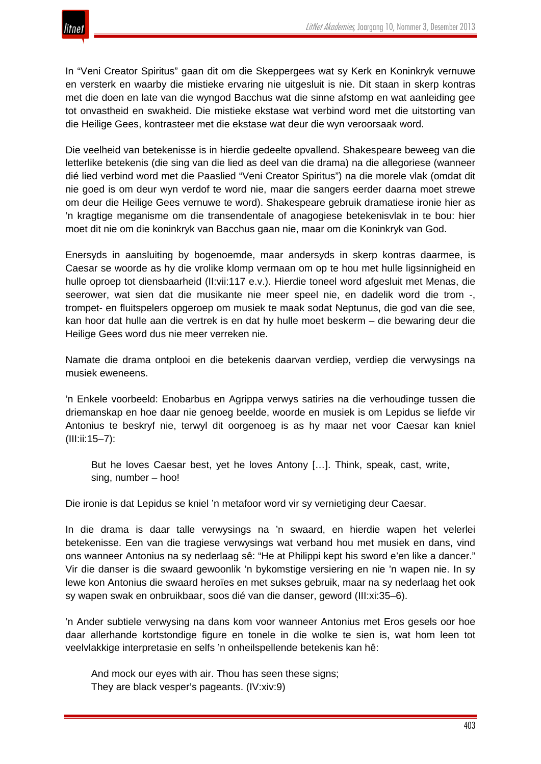

In "Veni Creator Spiritus" gaan dit om die Skeppergees wat sy Kerk en Koninkryk vernuwe en versterk en waarby die mistieke ervaring nie uitgesluit is nie. Dit staan in skerp kontras met die doen en late van die wyngod Bacchus wat die sinne afstomp en wat aanleiding gee tot onvastheid en swakheid. Die mistieke ekstase wat verbind word met die uitstorting van die Heilige Gees, kontrasteer met die ekstase wat deur die wyn veroorsaak word.

Die veelheid van betekenisse is in hierdie gedeelte opvallend. Shakespeare beweeg van die letterlike betekenis (die sing van die lied as deel van die drama) na die allegoriese (wanneer dié lied verbind word met die Paaslied "Veni Creator Spiritus") na die morele vlak (omdat dit nie goed is om deur wyn verdof te word nie, maar die sangers eerder daarna moet strewe om deur die Heilige Gees vernuwe te word). Shakespeare gebruik dramatiese ironie hier as 'n kragtige meganisme om die transendentale of anagogiese betekenisvlak in te bou: hier moet dit nie om die koninkryk van Bacchus gaan nie, maar om die Koninkryk van God.

Enersyds in aansluiting by bogenoemde, maar andersyds in skerp kontras daarmee, is Caesar se woorde as hy die vrolike klomp vermaan om op te hou met hulle ligsinnigheid en hulle oproep tot diensbaarheid (II:vii:117 e.v.). Hierdie toneel word afgesluit met Menas, die seerower, wat sien dat die musikante nie meer speel nie, en dadelik word die trom -, trompet- en fluitspelers opgeroep om musiek te maak sodat Neptunus, die god van die see, kan hoor dat hulle aan die vertrek is en dat hy hulle moet beskerm – die bewaring deur die Heilige Gees word dus nie meer verreken nie.

Namate die drama ontplooi en die betekenis daarvan verdiep, verdiep die verwysings na musiek eweneens.

'n Enkele voorbeeld: Enobarbus en Agrippa verwys satiries na die verhoudinge tussen die driemanskap en hoe daar nie genoeg beelde, woorde en musiek is om Lepidus se liefde vir Antonius te beskryf nie, terwyl dit oorgenoeg is as hy maar net voor Caesar kan kniel (III:ii:15–7):

But he loves Caesar best, yet he loves Antony […]. Think, speak, cast, write, sing, number – hoo!

Die ironie is dat Lepidus se kniel 'n metafoor word vir sy vernietiging deur Caesar.

In die drama is daar talle verwysings na 'n swaard, en hierdie wapen het velerlei betekenisse. Een van die tragiese verwysings wat verband hou met musiek en dans, vind ons wanneer Antonius na sy nederlaag sê: "He at Philippi kept his sword e'en like a dancer." Vir die danser is die swaard gewoonlik 'n bykomstige versiering en nie 'n wapen nie. In sy lewe kon Antonius die swaard heroïes en met sukses gebruik, maar na sy nederlaag het ook sy wapen swak en onbruikbaar, soos dié van die danser, geword (III:xi:35–6).

'n Ander subtiele verwysing na dans kom voor wanneer Antonius met Eros gesels oor hoe daar allerhande kortstondige figure en tonele in die wolke te sien is, wat hom leen tot veelvlakkige interpretasie en selfs 'n onheilspellende betekenis kan hê:

And mock our eyes with air. Thou has seen these signs; They are black vesper's pageants. (IV:xiv:9)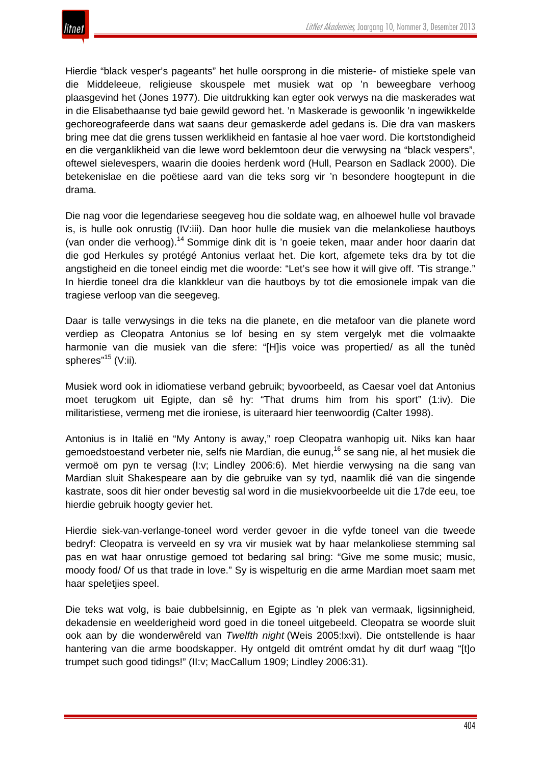

Hierdie "black vesper's pageants" het hulle oorsprong in die misterie- of mistieke spele van die Middeleeue, religieuse skouspele met musiek wat op 'n beweegbare verhoog plaasgevind het (Jones 1977). Die uitdrukking kan egter ook verwys na die maskerades wat in die Elisabethaanse tyd baie gewild geword het. 'n Maskerade is gewoonlik 'n ingewikkelde gechoreografeerde dans wat saans deur gemaskerde adel gedans is. Die dra van maskers bring mee dat die grens tussen werklikheid en fantasie al hoe vaer word. Die kortstondigheid en die verganklikheid van die lewe word beklemtoon deur die verwysing na "black vespers", oftewel sielevespers, waarin die dooies herdenk word (Hull, Pearson en Sadlack 2000). Die betekenislae en die poëtiese aard van die teks sorg vir 'n besondere hoogtepunt in die drama.

Die nag voor die legendariese seegeveg hou die soldate wag, en alhoewel hulle vol bravade is, is hulle ook onrustig (IV:iii). Dan hoor hulle die musiek van die melankoliese hautboys (van onder die verhoog).<sup>14</sup> Sommige dink dit is 'n goeie teken, maar ander hoor daarin dat die god Herkules sy protégé Antonius verlaat het. Die kort, afgemete teks dra by tot die angstigheid en die toneel eindig met die woorde: "Let's see how it will give off. 'Tis strange." In hierdie toneel dra die klankkleur van die hautboys by tot die emosionele impak van die tragiese verloop van die seegeveg.

Daar is talle verwysings in die teks na die planete, en die metafoor van die planete word verdiep as Cleopatra Antonius se lof besing en sy stem vergelyk met die volmaakte harmonie van die musiek van die sfere: "[H]is voice was propertied/ as all the tunèd spheres<sup>"15</sup> (V:ii).

Musiek word ook in idiomatiese verband gebruik; byvoorbeeld, as Caesar voel dat Antonius moet terugkom uit Egipte, dan sê hy: "That drums him from his sport" (1:iv). Die militaristiese, vermeng met die ironiese, is uiteraard hier teenwoordig (Calter 1998).

Antonius is in Italië en "My Antony is away," roep Cleopatra wanhopig uit. Niks kan haar gemoedstoestand verbeter nie, selfs nie Mardian, die eunug,<sup>16</sup> se sang nie, al het musiek die vermoë om pyn te versag (I:v; Lindley 2006:6). Met hierdie verwysing na die sang van Mardian sluit Shakespeare aan by die gebruike van sy tyd, naamlik dié van die singende kastrate, soos dit hier onder bevestig sal word in die musiekvoorbeelde uit die 17de eeu, toe hierdie gebruik hoogty gevier het.

Hierdie siek-van-verlange-toneel word verder gevoer in die vyfde toneel van die tweede bedryf: Cleopatra is verveeld en sy vra vir musiek wat by haar melankoliese stemming sal pas en wat haar onrustige gemoed tot bedaring sal bring: "Give me some music; music, moody food/ Of us that trade in love." Sy is wispelturig en die arme Mardian moet saam met haar speletjies speel.

Die teks wat volg, is baie dubbelsinnig, en Egipte as 'n plek van vermaak, ligsinnigheid, dekadensie en weelderigheid word goed in die toneel uitgebeeld. Cleopatra se woorde sluit ook aan by die wonderwêreld van *Twelfth night* (Weis 2005:lxvi). Die ontstellende is haar hantering van die arme boodskapper. Hy ontgeld dit omtrént omdat hy dit durf waag "[t]o trumpet such good tidings!" (II:v; MacCallum 1909; Lindley 2006:31).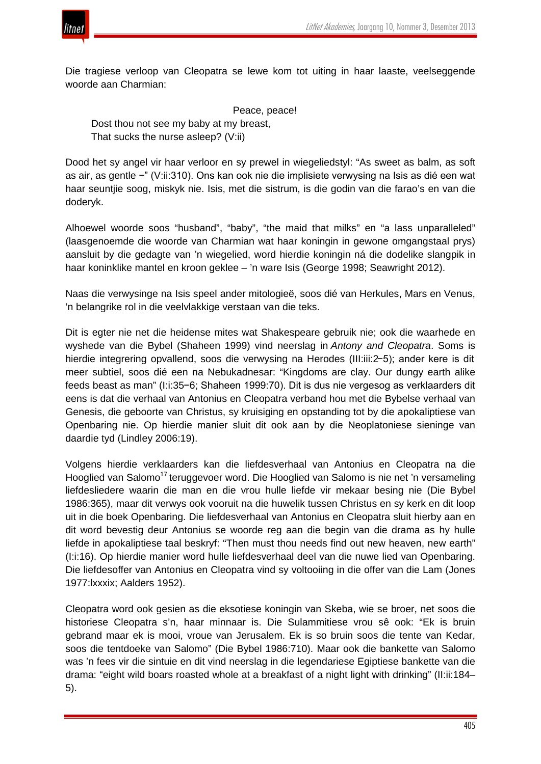

Die tragiese verloop van Cleopatra se lewe kom tot uiting in haar laaste, veelseggende woorde aan Charmian:

 Peace, peace! Dost thou not see my baby at my breast, That sucks the nurse asleep? (V:ii)

Dood het sy angel vir haar verloor en sy prewel in wiegeliedstyl: "As sweet as balm, as soft as air, as gentle −" (V:ii:310). Ons kan ook nie die implisiete verwysing na Isis as dié een wat haar seuntjie soog, miskyk nie. Isis, met die sistrum, is die godin van die farao's en van die doderyk.

Alhoewel woorde soos "husband", "baby", "the maid that milks" en "a lass unparalleled" (laasgenoemde die woorde van Charmian wat haar koningin in gewone omgangstaal prys) aansluit by die gedagte van 'n wiegelied, word hierdie koningin ná die dodelike slangpik in haar koninklike mantel en kroon geklee – 'n ware Isis (George 1998; Seawright 2012).

Naas die verwysinge na Isis speel ander mitologieë, soos dié van Herkules, Mars en Venus, 'n belangrike rol in die veelvlakkige verstaan van die teks.

Dit is egter nie net die heidense mites wat Shakespeare gebruik nie; ook die waarhede en wyshede van die Bybel (Shaheen 1999) vind neerslag in *Antony and Cleopatra*. Soms is hierdie integrering opvallend, soos die verwysing na Herodes (III:iii:2−5); ander kere is dit meer subtiel, soos dié een na Nebukadnesar: "Kingdoms are clay. Our dungy earth alike feeds beast as man" (I:i:35−6; Shaheen 1999:70). Dit is dus nie vergesog as verklaarders dit eens is dat die verhaal van Antonius en Cleopatra verband hou met die Bybelse verhaal van Genesis, die geboorte van Christus, sy kruisiging en opstanding tot by die apokaliptiese van Openbaring nie. Op hierdie manier sluit dit ook aan by die Neoplatoniese sieninge van daardie tyd (Lindley 2006:19).

Volgens hierdie verklaarders kan die liefdesverhaal van Antonius en Cleopatra na die Hooglied van Salomo<sup>17</sup> teruggevoer word. Die Hooglied van Salomo is nie net 'n versameling liefdesliedere waarin die man en die vrou hulle liefde vir mekaar besing nie (Die Bybel 1986:365), maar dit verwys ook vooruit na die huwelik tussen Christus en sy kerk en dit loop uit in die boek Openbaring. Die liefdesverhaal van Antonius en Cleopatra sluit hierby aan en dit word bevestig deur Antonius se woorde reg aan die begin van die drama as hy hulle liefde in apokaliptiese taal beskryf: "Then must thou needs find out new heaven, new earth" (I:i:16). Op hierdie manier word hulle liefdesverhaal deel van die nuwe lied van Openbaring. Die liefdesoffer van Antonius en Cleopatra vind sy voltooiing in die offer van die Lam (Jones 1977:lxxxix; Aalders 1952).

Cleopatra word ook gesien as die eksotiese koningin van Skeba, wie se broer, net soos die historiese Cleopatra s'n, haar minnaar is. Die Sulammitiese vrou sê ook: "Ek is bruin gebrand maar ek is mooi, vroue van Jerusalem. Ek is so bruin soos die tente van Kedar, soos die tentdoeke van Salomo" (Die Bybel 1986:710). Maar ook die bankette van Salomo was 'n fees vir die sintuie en dit vind neerslag in die legendariese Egiptiese bankette van die drama: "eight wild boars roasted whole at a breakfast of a night light with drinking" (II:ii:184– 5).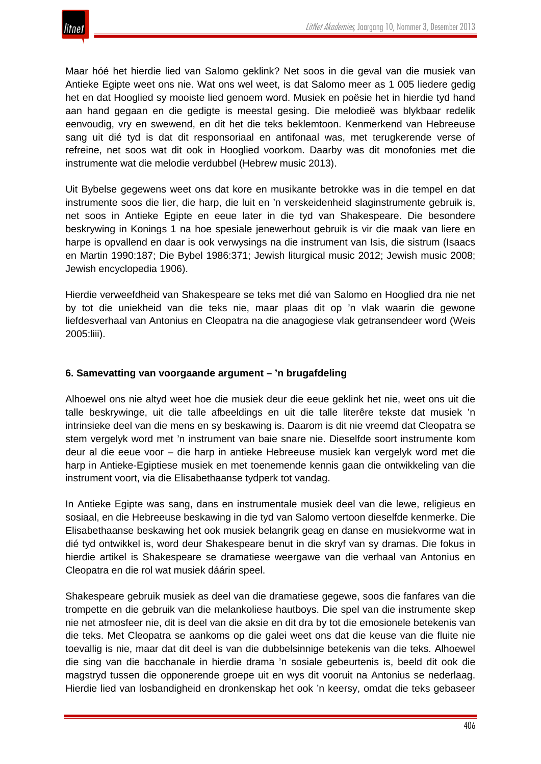Maar hóé het hierdie lied van Salomo geklink? Net soos in die geval van die musiek van Antieke Egipte weet ons nie. Wat ons wel weet, is dat Salomo meer as 1 005 liedere gedig het en dat Hooglied sy mooiste lied genoem word. Musiek en poësie het in hierdie tyd hand aan hand gegaan en die gedigte is meestal gesing. Die melodieë was blykbaar redelik eenvoudig, vry en swewend, en dit het die teks beklemtoon. Kenmerkend van Hebreeuse sang uit dié tyd is dat dit responsoriaal en antifonaal was, met terugkerende verse of refreine, net soos wat dit ook in Hooglied voorkom. Daarby was dit monofonies met die instrumente wat die melodie verdubbel (Hebrew music 2013).

Uit Bybelse gegewens weet ons dat kore en musikante betrokke was in die tempel en dat instrumente soos die lier, die harp, die luit en 'n verskeidenheid slaginstrumente gebruik is, net soos in Antieke Egipte en eeue later in die tyd van Shakespeare. Die besondere beskrywing in Konings 1 na hoe spesiale jenewerhout gebruik is vir die maak van liere en harpe is opvallend en daar is ook verwysings na die instrument van Isis, die sistrum (Isaacs en Martin 1990:187; Die Bybel 1986:371; Jewish liturgical music 2012; Jewish music 2008; Jewish encyclopedia 1906).

Hierdie verweefdheid van Shakespeare se teks met dié van Salomo en Hooglied dra nie net by tot die uniekheid van die teks nie, maar plaas dit op 'n vlak waarin die gewone liefdesverhaal van Antonius en Cleopatra na die anagogiese vlak getransendeer word (Weis 2005:liii).

#### **6. Samevatting van voorgaande argument – 'n brugafdeling**

Alhoewel ons nie altyd weet hoe die musiek deur die eeue geklink het nie, weet ons uit die talle beskrywinge, uit die talle afbeeldings en uit die talle literêre tekste dat musiek 'n intrinsieke deel van die mens en sy beskawing is. Daarom is dit nie vreemd dat Cleopatra se stem vergelyk word met 'n instrument van baie snare nie. Dieselfde soort instrumente kom deur al die eeue voor – die harp in antieke Hebreeuse musiek kan vergelyk word met die harp in Antieke-Egiptiese musiek en met toenemende kennis gaan die ontwikkeling van die instrument voort, via die Elisabethaanse tydperk tot vandag.

In Antieke Egipte was sang, dans en instrumentale musiek deel van die lewe, religieus en sosiaal, en die Hebreeuse beskawing in die tyd van Salomo vertoon dieselfde kenmerke. Die Elisabethaanse beskawing het ook musiek belangrik geag en danse en musiekvorme wat in dié tyd ontwikkel is, word deur Shakespeare benut in die skryf van sy dramas. Die fokus in hierdie artikel is Shakespeare se dramatiese weergawe van die verhaal van Antonius en Cleopatra en die rol wat musiek dáárin speel.

Shakespeare gebruik musiek as deel van die dramatiese gegewe, soos die fanfares van die trompette en die gebruik van die melankoliese hautboys. Die spel van die instrumente skep nie net atmosfeer nie, dit is deel van die aksie en dit dra by tot die emosionele betekenis van die teks. Met Cleopatra se aankoms op die galei weet ons dat die keuse van die fluite nie toevallig is nie, maar dat dit deel is van die dubbelsinnige betekenis van die teks. Alhoewel die sing van die bacchanale in hierdie drama 'n sosiale gebeurtenis is, beeld dit ook die magstryd tussen die opponerende groepe uit en wys dit vooruit na Antonius se nederlaag. Hierdie lied van losbandigheid en dronkenskap het ook 'n keersy, omdat die teks gebaseer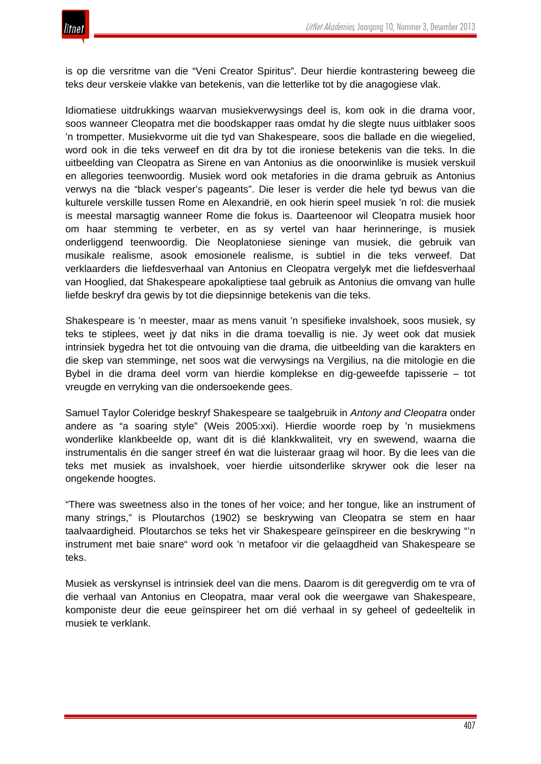

is op die versritme van die "Veni Creator Spiritus". Deur hierdie kontrastering beweeg die teks deur verskeie vlakke van betekenis, van die letterlike tot by die anagogiese vlak.

Idiomatiese uitdrukkings waarvan musiekverwysings deel is, kom ook in die drama voor, soos wanneer Cleopatra met die boodskapper raas omdat hy die slegte nuus uitblaker soos 'n trompetter. Musiekvorme uit die tyd van Shakespeare, soos die ballade en die wiegelied, word ook in die teks verweef en dit dra by tot die ironiese betekenis van die teks. In die uitbeelding van Cleopatra as Sirene en van Antonius as die onoorwinlike is musiek verskuil en allegories teenwoordig. Musiek word ook metafories in die drama gebruik as Antonius verwys na die "black vesper's pageants". Die leser is verder die hele tyd bewus van die kulturele verskille tussen Rome en Alexandrië, en ook hierin speel musiek 'n rol: die musiek is meestal marsagtig wanneer Rome die fokus is. Daarteenoor wil Cleopatra musiek hoor om haar stemming te verbeter, en as sy vertel van haar herinneringe, is musiek onderliggend teenwoordig. Die Neoplatoniese sieninge van musiek, die gebruik van musikale realisme, asook emosionele realisme, is subtiel in die teks verweef. Dat verklaarders die liefdesverhaal van Antonius en Cleopatra vergelyk met die liefdesverhaal van Hooglied, dat Shakespeare apokaliptiese taal gebruik as Antonius die omvang van hulle liefde beskryf dra gewis by tot die diepsinnige betekenis van die teks.

Shakespeare is 'n meester, maar as mens vanuit 'n spesifieke invalshoek, soos musiek, sy teks te stiplees, weet jy dat niks in die drama toevallig is nie. Jy weet ook dat musiek intrinsiek bygedra het tot die ontvouing van die drama, die uitbeelding van die karakters en die skep van stemminge, net soos wat die verwysings na Vergilius, na die mitologie en die Bybel in die drama deel vorm van hierdie komplekse en dig-geweefde tapisserie – tot vreugde en verryking van die ondersoekende gees.

Samuel Taylor Coleridge beskryf Shakespeare se taalgebruik in *Antony and Cleopatra* onder andere as "a soaring style" (Weis 2005:xxi). Hierdie woorde roep by 'n musiekmens wonderlike klankbeelde op, want dit is dié klankkwaliteit, vry en swewend, waarna die instrumentalis én die sanger streef én wat die luisteraar graag wil hoor. By die lees van die teks met musiek as invalshoek, voer hierdie uitsonderlike skrywer ook die leser na ongekende hoogtes.

"There was sweetness also in the tones of her voice; and her tongue, like an instrument of many strings," is Ploutarchos (1902) se beskrywing van Cleopatra se stem en haar taalvaardigheid. Ploutarchos se teks het vir Shakespeare geïnspireer en die beskrywing "'n instrument met baie snare" word ook 'n metafoor vir die gelaagdheid van Shakespeare se teks.

Musiek as verskynsel is intrinsiek deel van die mens. Daarom is dit geregverdig om te vra of die verhaal van Antonius en Cleopatra, maar veral ook die weergawe van Shakespeare, komponiste deur die eeue geïnspireer het om dié verhaal in sy geheel of gedeeltelik in musiek te verklank.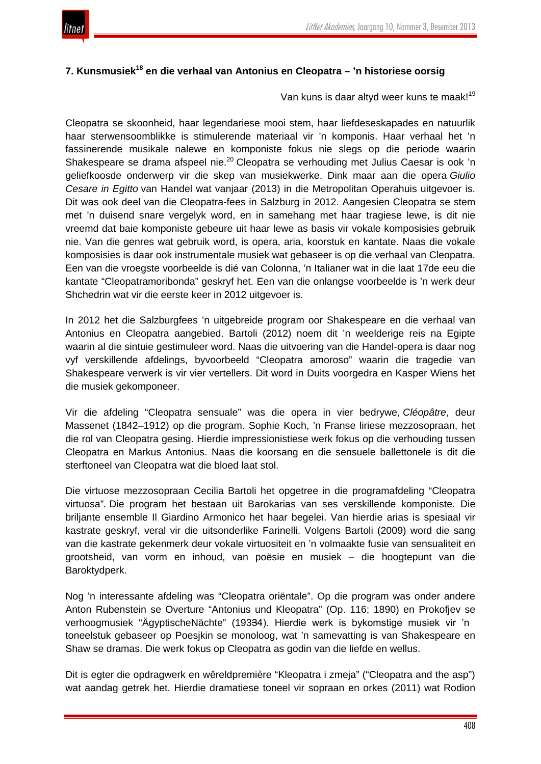

### **7. Kunsmusiek<sup>18</sup> en die verhaal van Antonius en Cleopatra – 'n historiese oorsig**

Van kuns is daar altyd weer kuns te maak!<sup>19</sup>

Cleopatra se skoonheid, haar legendariese mooi stem, haar liefdeseskapades en natuurlik haar sterwensoomblikke is stimulerende materiaal vir 'n komponis. Haar verhaal het 'n fassinerende musikale nalewe en komponiste fokus nie slegs op die periode waarin Shakespeare se drama afspeel nie.<sup>20</sup> Cleopatra se verhouding met Julius Caesar is ook 'n geliefkoosde onderwerp vir die skep van musiekwerke. Dink maar aan die opera *Giulio Cesare in Egitto* van Handel wat vanjaar (2013) in die Metropolitan Operahuis uitgevoer is. Dit was ook deel van die Cleopatra-fees in Salzburg in 2012. Aangesien Cleopatra se stem met 'n duisend snare vergelyk word, en in samehang met haar tragiese lewe, is dit nie vreemd dat baie komponiste gebeure uit haar lewe as basis vir vokale komposisies gebruik nie. Van die genres wat gebruik word, is opera, aria, koorstuk en kantate. Naas die vokale komposisies is daar ook instrumentale musiek wat gebaseer is op die verhaal van Cleopatra. Een van die vroegste voorbeelde is dié van Colonna, 'n Italianer wat in die laat 17de eeu die kantate "Cleopatramoribonda" geskryf het. Een van die onlangse voorbeelde is 'n werk deur Shchedrin wat vir die eerste keer in 2012 uitgevoer is.

In 2012 het die Salzburgfees 'n uitgebreide program oor Shakespeare en die verhaal van Antonius en Cleopatra aangebied. Bartoli (2012) noem dit 'n weelderige reis na Egipte waarin al die sintuie gestimuleer word. Naas die uitvoering van die Handel-opera is daar nog vyf verskillende afdelings, byvoorbeeld "Cleopatra amoroso" waarin die tragedie van Shakespeare verwerk is vir vier vertellers. Dit word in Duits voorgedra en Kasper Wiens het die musiek gekomponeer.

Vir die afdeling "Cleopatra sensuale" was die opera in vier bedrywe, *Cléopâtre*, deur Massenet (1842–1912) op die program. Sophie Koch, 'n Franse liriese mezzosopraan, het die rol van Cleopatra gesing. Hierdie impressionistiese werk fokus op die verhouding tussen Cleopatra en Markus Antonius. Naas die koorsang en die sensuele ballettonele is dit die sterftoneel van Cleopatra wat die bloed laat stol.

Die virtuose mezzosopraan Cecilia Bartoli het opgetree in die programafdeling "Cleopatra virtuosa"*.* Die program het bestaan uit Barokarias van ses verskillende komponiste. Die briljante ensemble Il Giardino Armonico het haar begelei. Van hierdie arias is spesiaal vir kastrate geskryf, veral vir die uitsonderlike Farinelli. Volgens Bartoli (2009) word die sang van die kastrate gekenmerk deur vokale virtuositeit en 'n volmaakte fusie van sensualiteit en grootsheid, van vorm en inhoud, van poësie en musiek – die hoogtepunt van die Baroktydperk.

Nog 'n interessante afdeling was "Cleopatra oriëntale". Op die program was onder andere Anton Rubenstein se Overture "Antonius und Kleopatra" (Op. 116; 1890) en Prokofjev se verhoogmusiek "ÄgyptischeNächte" (193<del>3</del>4). Hierdie werk is bykomstige musiek vir 'n toneelstuk gebaseer op Poesjkin se monoloog, wat 'n samevatting is van Shakespeare en Shaw se dramas. Die werk fokus op Cleopatra as godin van die liefde en wellus.

Dit is egter die opdragwerk en wêreldpremière "Kleopatra i zmeja" ("Cleopatra and the asp") wat aandag getrek het. Hierdie dramatiese toneel vir sopraan en orkes (2011) wat Rodion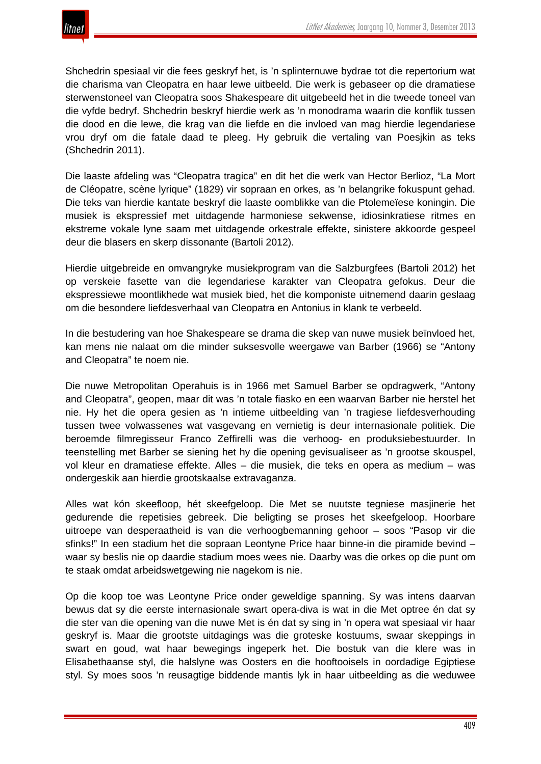

Shchedrin spesiaal vir die fees geskryf het, is 'n splinternuwe bydrae tot die repertorium wat die charisma van Cleopatra en haar lewe uitbeeld. Die werk is gebaseer op die dramatiese sterwenstoneel van Cleopatra soos Shakespeare dit uitgebeeld het in die tweede toneel van die vyfde bedryf. Shchedrin beskryf hierdie werk as 'n monodrama waarin die konflik tussen die dood en die lewe, die krag van die liefde en die invloed van mag hierdie legendariese vrou dryf om die fatale daad te pleeg. Hy gebruik die vertaling van Poesjkin as teks (Shchedrin 2011).

Die laaste afdeling was "Cleopatra tragica" en dit het die werk van Hector Berlioz, "La Mort de Cléopatre, scène lyrique" (1829) vir sopraan en orkes, as 'n belangrike fokuspunt gehad. Die teks van hierdie kantate beskryf die laaste oomblikke van die Ptolemeïese koningin. Die musiek is ekspressief met uitdagende harmoniese sekwense, idiosinkratiese ritmes en ekstreme vokale lyne saam met uitdagende orkestrale effekte, sinistere akkoorde gespeel deur die blasers en skerp dissonante (Bartoli 2012).

Hierdie uitgebreide en omvangryke musiekprogram van die Salzburgfees (Bartoli 2012) het op verskeie fasette van die legendariese karakter van Cleopatra gefokus. Deur die ekspressiewe moontlikhede wat musiek bied, het die komponiste uitnemend daarin geslaag om die besondere liefdesverhaal van Cleopatra en Antonius in klank te verbeeld.

In die bestudering van hoe Shakespeare se drama die skep van nuwe musiek beïnvloed het, kan mens nie nalaat om die minder suksesvolle weergawe van Barber (1966) se "Antony and Cleopatra" te noem nie.

Die nuwe Metropolitan Operahuis is in 1966 met Samuel Barber se opdragwerk, "Antony and Cleopatra", geopen, maar dit was 'n totale fiasko en een waarvan Barber nie herstel het nie. Hy het die opera gesien as 'n intieme uitbeelding van 'n tragiese liefdesverhouding tussen twee volwassenes wat vasgevang en vernietig is deur internasionale politiek. Die beroemde filmregisseur Franco Zeffirelli was die verhoog- en produksiebestuurder. In teenstelling met Barber se siening het hy die opening gevisualiseer as 'n grootse skouspel, vol kleur en dramatiese effekte. Alles – die musiek, die teks en opera as medium – was ondergeskik aan hierdie grootskaalse extravaganza.

Alles wat kón skeefloop, hét skeefgeloop. Die Met se nuutste tegniese masjinerie het gedurende die repetisies gebreek. Die beligting se proses het skeefgeloop. Hoorbare uitroepe van desperaatheid is van die verhoogbemanning gehoor – soos "Pasop vir die sfinks!" In een stadium het die sopraan Leontyne Price haar binne-in die piramide bevind – waar sy beslis nie op daardie stadium moes wees nie. Daarby was die orkes op die punt om te staak omdat arbeidswetgewing nie nagekom is nie.

Op die koop toe was Leontyne Price onder geweldige spanning. Sy was intens daarvan bewus dat sy die eerste internasionale swart opera-diva is wat in die Met optree én dat sy die ster van die opening van die nuwe Met is én dat sy sing in 'n opera wat spesiaal vir haar geskryf is. Maar die grootste uitdagings was die groteske kostuums, swaar skeppings in swart en goud, wat haar bewegings ingeperk het. Die bostuk van die klere was in Elisabethaanse styl, die halslyne was Oosters en die hooftooisels in oordadige Egiptiese styl. Sy moes soos 'n reusagtige biddende mantis lyk in haar uitbeelding as die weduwee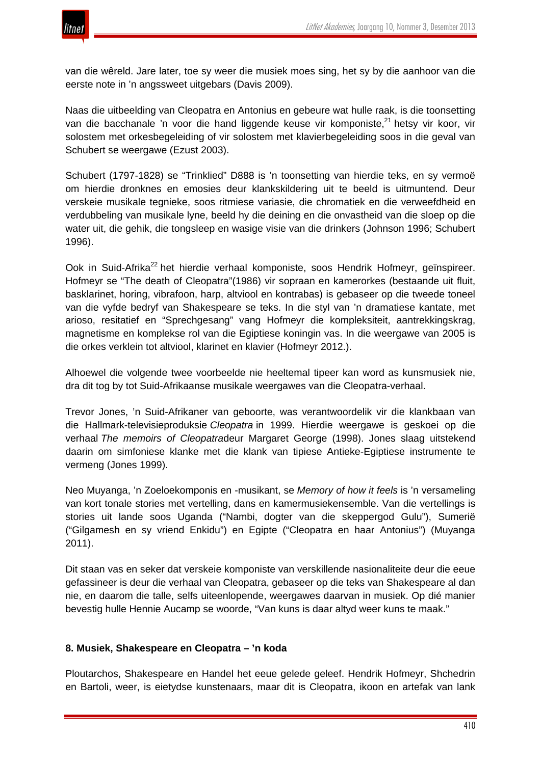

van die wêreld. Jare later, toe sy weer die musiek moes sing, het sy by die aanhoor van die eerste note in 'n angssweet uitgebars (Davis 2009).

Naas die uitbeelding van Cleopatra en Antonius en gebeure wat hulle raak, is die toonsetting van die bacchanale 'n voor die hand liggende keuse vir komponiste,<sup>21</sup> hetsy vir koor, vir solostem met orkesbegeleiding of vir solostem met klavierbegeleiding soos in die geval van Schubert se weergawe (Ezust 2003).

Schubert (1797-1828) se "Trinklied" D888 is 'n toonsetting van hierdie teks, en sy vermoë om hierdie dronknes en emosies deur klankskildering uit te beeld is uitmuntend. Deur verskeie musikale tegnieke, soos ritmiese variasie, die chromatiek en die verweefdheid en verdubbeling van musikale lyne, beeld hy die deining en die onvastheid van die sloep op die water uit, die gehik, die tongsleep en wasige visie van die drinkers (Johnson 1996; Schubert 1996).

Ook in Suid-Afrika<sup>22</sup> het hierdie verhaal komponiste, soos Hendrik Hofmeyr, geïnspireer. Hofmeyr se "The death of Cleopatra"(1986) vir sopraan en kamerorkes (bestaande uit fluit, basklarinet, horing, vibrafoon, harp, altviool en kontrabas) is gebaseer op die tweede toneel van die vyfde bedryf van Shakespeare se teks. In die styl van 'n dramatiese kantate, met arioso, resitatief en "Sprechgesang" vang Hofmeyr die kompleksiteit, aantrekkingskrag, magnetisme en komplekse rol van die Egiptiese koningin vas. In die weergawe van 2005 is die orkes verklein tot altviool, klarinet en klavier (Hofmeyr 2012.).

Alhoewel die volgende twee voorbeelde nie heeltemal tipeer kan word as kunsmusiek nie, dra dit tog by tot Suid-Afrikaanse musikale weergawes van die Cleopatra-verhaal.

Trevor Jones, 'n Suid-Afrikaner van geboorte, was verantwoordelik vir die klankbaan van die Hallmark-televisieproduksie *Cleopatra* in 1999. Hierdie weergawe is geskoei op die verhaal *The memoirs of Cleopatra*deur Margaret George (1998). Jones slaag uitstekend daarin om simfoniese klanke met die klank van tipiese Antieke-Egiptiese instrumente te vermeng (Jones 1999).

Neo Muyanga, 'n Zoeloekomponis en -musikant, se *Memory of how it feels* is 'n versameling van kort tonale stories met vertelling, dans en kamermusiekensemble. Van die vertellings is stories uit lande soos Uganda ("Nambi, dogter van die skeppergod Gulu"), Sumerië ("Gilgamesh en sy vriend Enkidu") en Egipte ("Cleopatra en haar Antonius") (Muyanga 2011).

Dit staan vas en seker dat verskeie komponiste van verskillende nasionaliteite deur die eeue gefassineer is deur die verhaal van Cleopatra, gebaseer op die teks van Shakespeare al dan nie, en daarom die talle, selfs uiteenlopende, weergawes daarvan in musiek. Op dié manier bevestig hulle Hennie Aucamp se woorde, "Van kuns is daar altyd weer kuns te maak."

#### **8. Musiek, Shakespeare en Cleopatra – 'n koda**

Ploutarchos, Shakespeare en Handel het eeue gelede geleef. Hendrik Hofmeyr, Shchedrin en Bartoli, weer, is eietydse kunstenaars, maar dit is Cleopatra, ikoon en artefak van lank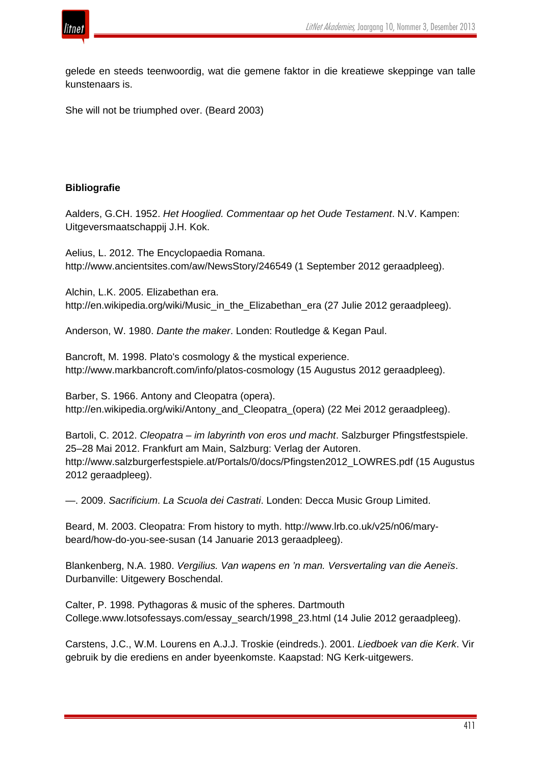

gelede en steeds teenwoordig, wat die gemene faktor in die kreatiewe skeppinge van talle kunstenaars is.

She will not be triumphed over. (Beard 2003)

# **Bibliografie**

Aalders, G.CH. 1952. *Het Hooglied. Commentaar op het Oude Testament*. N.V. Kampen: Uitgeversmaatschappij J.H. Kok.

Aelius, L. 2012. The Encyclopaedia Romana. http://www.ancientsites.com/aw/NewsStory/246549 (1 September 2012 geraadpleeg).

Alchin, L.K. 2005. Elizabethan era. http://en.wikipedia.org/wiki/Music\_in\_the\_Elizabethan\_era (27 Julie 2012 geraadpleeg).

Anderson, W. 1980. *Dante the maker*. Londen: Routledge & Kegan Paul.

Bancroft, M. 1998. Plato's cosmology & the mystical experience. http://www.markbancroft.com/info/platos-cosmology (15 Augustus 2012 geraadpleeg).

Barber, S. 1966. Antony and Cleopatra (opera). http://en.wikipedia.org/wiki/Antony\_and\_Cleopatra\_(opera) (22 Mei 2012 geraadpleeg).

Bartoli, C. 2012. *Cleopatra – im labyrinth von eros und macht*. Salzburger Pfingstfestspiele. 25–28 Mai 2012. Frankfurt am Main, Salzburg: Verlag der Autoren. http://www.salzburgerfestspiele.at/Portals/0/docs/Pfingsten2012\_LOWRES.pdf (15 Augustus 2012 geraadpleeg).

—. 2009. *Sacrificium*. *La Scuola dei Castrati*. Londen: Decca Music Group Limited.

Beard, M. 2003. Cleopatra: From history to myth. http://www.lrb.co.uk/v25/n06/marybeard/how-do-you-see-susan (14 Januarie 2013 geraadpleeg).

Blankenberg, N.A. 1980. *Vergilius. Van wapens en 'n man. Versvertaling van die Aeneïs*. Durbanville: Uitgewery Boschendal.

Calter, P. 1998. Pythagoras & music of the spheres. Dartmouth College.www.lotsofessays.com/essay\_search/1998\_23.html (14 Julie 2012 geraadpleeg).

Carstens, J.C., W.M. Lourens en A.J.J. Troskie (eindreds.). 2001. *Liedboek van die Kerk*. Vir gebruik by die erediens en ander byeenkomste. Kaapstad: NG Kerk-uitgewers.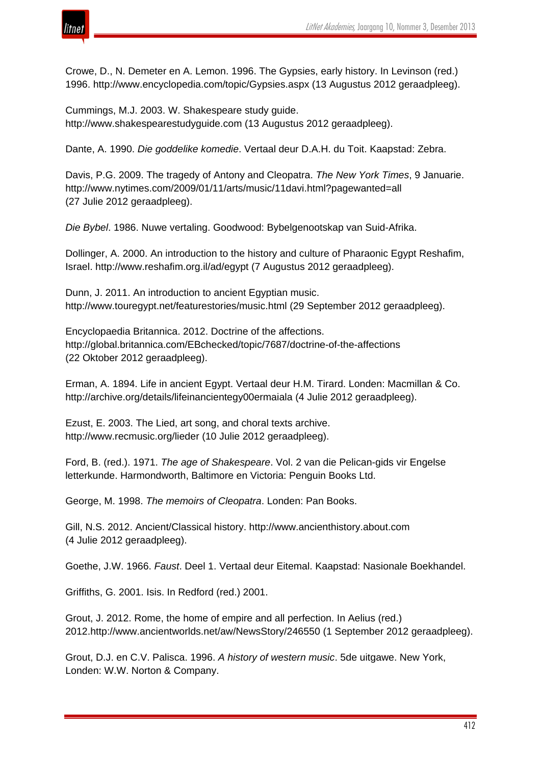

Crowe, D., N. Demeter en A. Lemon. 1996. The Gypsies, early history. In Levinson (red.) 1996. http://www.encyclopedia.com/topic/Gypsies.aspx (13 Augustus 2012 geraadpleeg).

Cummings, M.J. 2003. W. Shakespeare study guide. http://www.shakespearestudyguide.com (13 Augustus 2012 geraadpleeg).

Dante, A. 1990. *Die goddelike komedie*. Vertaal deur D.A.H. du Toit. Kaapstad: Zebra.

Davis, P.G. 2009. The tragedy of Antony and Cleopatra. *The New York Times*, 9 Januarie. http://www.nytimes.com/2009/01/11/arts/music/11davi.html?pagewanted=all (27 Julie 2012 geraadpleeg).

*Die Bybel*. 1986. Nuwe vertaling. Goodwood: Bybelgenootskap van Suid-Afrika.

Dollinger, A. 2000. An introduction to the history and culture of Pharaonic Egypt Reshafim, Israel. http://www.reshafim.org.il/ad/egypt (7 Augustus 2012 geraadpleeg).

Dunn, J. 2011. An introduction to ancient Egyptian music. http://www.touregypt.net/featurestories/music.html (29 September 2012 geraadpleeg).

Encyclopaedia Britannica. 2012. Doctrine of the affections. http://global.britannica.com/EBchecked/topic/7687/doctrine-of-the-affections (22 Oktober 2012 geraadpleeg).

Erman, A. 1894. Life in ancient Egypt. Vertaal deur H.M. Tirard. Londen: Macmillan & Co. http://archive.org/details/lifeinancientegy00ermaiala (4 Julie 2012 geraadpleeg).

Ezust, E. 2003. The Lied, art song, and choral texts archive. http://www.recmusic.org/lieder (10 Julie 2012 geraadpleeg).

Ford, B. (red.). 1971. *The age of Shakespeare*. Vol. 2 van die Pelican-gids vir Engelse letterkunde. Harmondworth, Baltimore en Victoria: Penguin Books Ltd.

George, M. 1998. *The memoirs of Cleopatra*. Londen: Pan Books.

Gill, N.S. 2012. Ancient/Classical history. http://www.ancienthistory.about.com (4 Julie 2012 geraadpleeg).

Goethe, J.W. 1966. *Faust*. Deel 1. Vertaal deur Eitemal. Kaapstad: Nasionale Boekhandel.

Griffiths, G. 2001. Isis. In Redford (red.) 2001.

Grout, J. 2012. Rome, the home of empire and all perfection. In Aelius (red.) 2012.http://www.ancientworlds.net/aw/NewsStory/246550 (1 September 2012 geraadpleeg).

Grout, D.J. en C.V. Palisca. 1996. *A history of western music*. 5de uitgawe. New York, Londen: W.W. Norton & Company.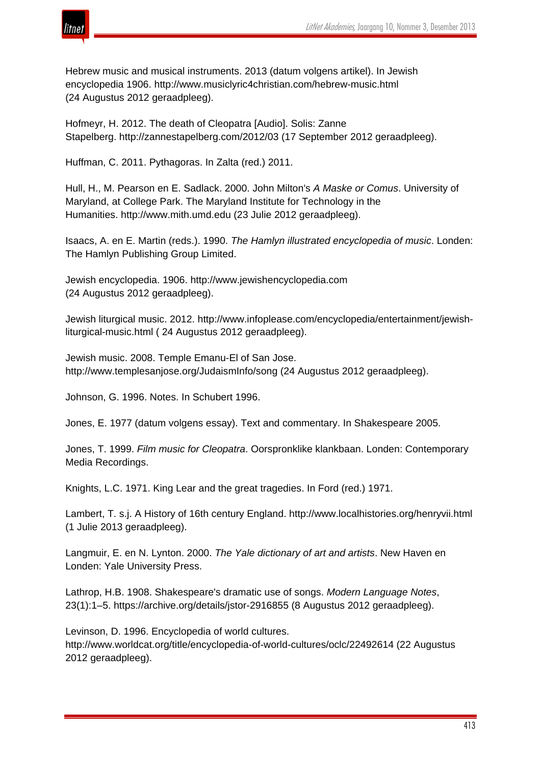

Hebrew music and musical instruments. 2013 (datum volgens artikel). In Jewish encyclopedia 1906. http://www.musiclyric4christian.com/hebrew-music.html (24 Augustus 2012 geraadpleeg).

Hofmeyr, H. 2012. The death of Cleopatra [Audio]. Solis: Zanne Stapelberg. http://zannestapelberg.com/2012/03 (17 September 2012 geraadpleeg).

Huffman, C. 2011. Pythagoras. In Zalta (red.) 2011.

Hull, H., M. Pearson en E. Sadlack. 2000. John Milton's *A Maske or Comus*. University of Maryland, at College Park. The Maryland Institute for Technology in the Humanities. http://www.mith.umd.edu (23 Julie 2012 geraadpleeg).

Isaacs, A. en E. Martin (reds.). 1990. *The Hamlyn illustrated encyclopedia of music*. Londen: The Hamlyn Publishing Group Limited.

Jewish encyclopedia. 1906. http://www.jewishencyclopedia.com (24 Augustus 2012 geraadpleeg).

Jewish liturgical music. 2012. http://www.infoplease.com/encyclopedia/entertainment/jewishliturgical-music.html ( 24 Augustus 2012 geraadpleeg).

Jewish music. 2008. Temple Emanu-El of San Jose. http://www.templesanjose.org/JudaismInfo/song (24 Augustus 2012 geraadpleeg).

Johnson, G. 1996. Notes. In Schubert 1996.

Jones, E. 1977 (datum volgens essay). Text and commentary. In Shakespeare 2005.

Jones, T. 1999. *Film music for Cleopatra*. Oorspronklike klankbaan. Londen: Contemporary Media Recordings.

Knights, L.C. 1971. King Lear and the great tragedies. In Ford (red.) 1971.

Lambert, T. s.j. A History of 16th century England. http://www.localhistories.org/henryvii.html (1 Julie 2013 geraadpleeg).

Langmuir, E. en N. Lynton. 2000. *The Yale dictionary of art and artists*. New Haven en Londen: Yale University Press.

Lathrop, H.B. 1908. Shakespeare's dramatic use of songs. *Modern Language Notes*, 23(1):1–5. https://archive.org/details/jstor-2916855 (8 Augustus 2012 geraadpleeg).

Levinson, D. 1996. Encyclopedia of world cultures. http://www.worldcat.org/title/encyclopedia-of-world-cultures/oclc/22492614 (22 Augustus 2012 geraadpleeg).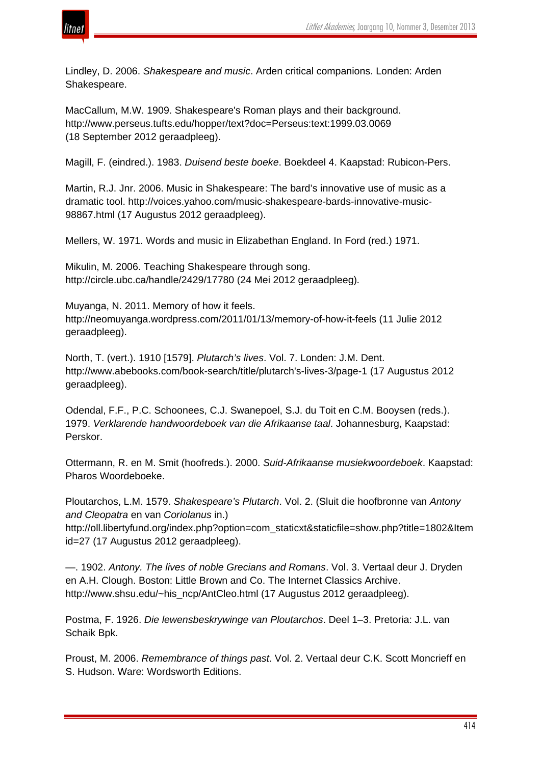

Lindley, D. 2006. *Shakespeare and music*. Arden critical companions. Londen: Arden Shakespeare.

MacCallum, M.W. 1909. Shakespeare's Roman plays and their background. http://www.perseus.tufts.edu/hopper/text?doc=Perseus:text:1999.03.0069 (18 September 2012 geraadpleeg).

Magill, F. (eindred.). 1983. *Duisend beste boeke*. Boekdeel 4. Kaapstad: Rubicon-Pers.

Martin, R.J. Jnr. 2006. Music in Shakespeare: The bard's innovative use of music as a dramatic tool. http://voices.yahoo.com/music-shakespeare-bards-innovative-music-98867.html (17 Augustus 2012 geraadpleeg).

Mellers, W. 1971. Words and music in Elizabethan England. In Ford (red.) 1971.

Mikulin, M. 2006. Teaching Shakespeare through song. http://circle.ubc.ca/handle/2429/17780 (24 Mei 2012 geraadpleeg)*.*

Muyanga, N. 2011. Memory of how it feels. http://neomuyanga.wordpress.com/2011/01/13/memory-of-how-it-feels (11 Julie 2012 geraadpleeg).

North, T. (vert.). 1910 [1579]. *Plutarch's lives*. Vol. 7. Londen: J.M. Dent. http://www.abebooks.com/book-search/title/plutarch's-lives-3/page-1 (17 Augustus 2012 geraadpleeg).

Odendal, F.F., P.C. Schoonees, C.J. Swanepoel, S.J. du Toit en C.M. Booysen (reds.). 1979. *Verklarende handwoordeboek van die Afrikaanse taal*. Johannesburg, Kaapstad: Perskor.

Ottermann, R. en M. Smit (hoofreds.). 2000. *Suid-Afrikaanse musiekwoordeboek*. Kaapstad: Pharos Woordeboeke.

Ploutarchos, L.M. 1579. *Shakespeare's Plutarch*. Vol. 2. (Sluit die hoofbronne van *Antony and Cleopatra* en van *Coriolanus* in.)

http://oll.libertyfund.org/index.php?option=com\_staticxt&staticfile=show.php?title=1802&Item id=27 (17 Augustus 2012 geraadpleeg).

—. 1902. *Antony. The lives of noble Grecians and Romans*. Vol. 3. Vertaal deur J. Dryden en A.H. Clough. Boston: Little Brown and Co. The Internet Classics Archive. http://www.shsu.edu/~his\_ncp/AntCleo.html (17 Augustus 2012 geraadpleeg).

Postma, F. 1926. *Die lewensbeskrywinge van Ploutarchos*. Deel 1–3. Pretoria: J.L. van Schaik Bpk.

Proust, M. 2006. *Remembrance of things past*. Vol. 2. Vertaal deur C.K. Scott Moncrieff en S. Hudson. Ware: Wordsworth Editions.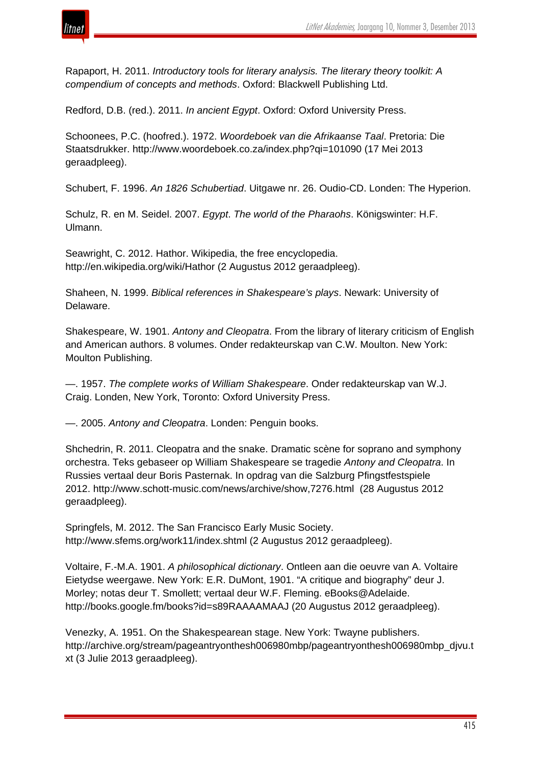



Rapaport, H. 2011. *Introductory tools for literary analysis. The literary theory toolkit: A compendium of concepts and methods*. Oxford: Blackwell Publishing Ltd.

Redford, D.B. (red.). 2011. *In ancient Egypt*. Oxford: Oxford University Press.

Schoonees, P.C. (hoofred.). 1972. *Woordeboek van die Afrikaanse Taal*. Pretoria: Die Staatsdrukker. http://www.woordeboek.co.za/index.php?qi=101090 (17 Mei 2013 geraadpleeg).

Schubert, F. 1996. *An 1826 Schubertiad*. Uitgawe nr. 26. Oudio-CD. Londen: The Hyperion.

Schulz, R. en M. Seidel. 2007. *Egypt*. *The world of the Pharaohs*. Königswinter: H.F. Ulmann.

Seawright, C. 2012. Hathor. Wikipedia, the free encyclopedia. http://en.wikipedia.org/wiki/Hathor (2 Augustus 2012 geraadpleeg).

Shaheen, N. 1999. *Biblical references in Shakespeare's plays*. Newark: University of Delaware.

Shakespeare, W. 1901. *Antony and Cleopatra*. From the library of literary criticism of English and American authors. 8 volumes. Onder redakteurskap van C.W. Moulton. New York: Moulton Publishing.

—. 1957. *The complete works of William Shakespeare*. Onder redakteurskap van W.J. Craig. Londen, New York, Toronto: Oxford University Press.

—. 2005. *Antony and Cleopatra*. Londen: Penguin books.

Shchedrin, R. 2011. Cleopatra and the snake. Dramatic scène for soprano and symphony orchestra. Teks gebaseer op William Shakespeare se tragedie *Antony and Cleopatra*. In Russies vertaal deur Boris Pasternak. In opdrag van die Salzburg Pfingstfestspiele 2012. http://www.schott-music.com/news/archive/show,7276.html (28 Augustus 2012 geraadpleeg).

Springfels, M. 2012. The San Francisco Early Music Society. http://www.sfems.org/work11/index.shtml (2 Augustus 2012 geraadpleeg).

Voltaire, F.-M.A. 1901. *A philosophical dictionary*. Ontleen aan die oeuvre van A. Voltaire Eietydse weergawe. New York: E.R. DuMont, 1901. "A critique and biography" deur J. Morley; notas deur T. Smollett; vertaal deur W.F. Fleming. eBooks@Adelaide. http://books.google.fm/books?id=s89RAAAAMAAJ (20 Augustus 2012 geraadpleeg).

Venezky, A. 1951. On the Shakespearean stage. New York: Twayne publishers. http://archive.org/stream/pageantryonthesh006980mbp/pageantryonthesh006980mbp\_djvu.t xt (3 Julie 2013 geraadpleeg).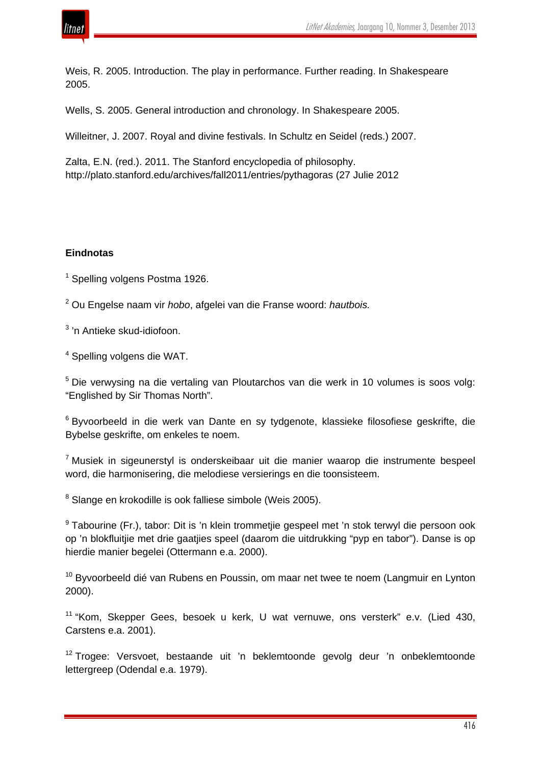

Weis, R. 2005. Introduction. The play in performance. Further reading. In Shakespeare 2005.

Wells, S. 2005. General introduction and chronology. In Shakespeare 2005.

Willeitner, J. 2007. Royal and divine festivals. In Schultz en Seidel (reds.) 2007.

Zalta, E.N. (red.). 2011. The Stanford encyclopedia of philosophy. http://plato.stanford.edu/archives/fall2011/entries/pythagoras (27 Julie 2012

# **Eindnotas**

 $1$  Spelling volgens Postma 1926.

<sup>2</sup> Ou Engelse naam vir *hobo*, afgelei van die Franse woord: *hautbois.*

<sup>3</sup> 'n Antieke skud-idiofoon.

<sup>4</sup> Spelling volgens die WAT.

<sup>5</sup> Die verwysing na die vertaling van Ploutarchos van die werk in 10 volumes is soos volg: "Englished by Sir Thomas North".

<sup>6</sup> Byvoorbeeld in die werk van Dante en sy tydgenote, klassieke filosofiese geskrifte, die Bybelse geskrifte, om enkeles te noem.

<sup>7</sup> Musiek in sigeunerstyl is onderskeibaar uit die manier waarop die instrumente bespeel word, die harmonisering, die melodiese versierings en die toonsisteem.

<sup>8</sup> Slange en krokodille is ook falliese simbole (Weis 2005).

<sup>9</sup> Tabourine (Fr.), tabor: Dit is 'n klein trommetiie gespeel met 'n stok terwyl die persoon ook op 'n blokfluitjie met drie gaatjies speel (daarom die uitdrukking "pyp en tabor"). Danse is op hierdie manier begelei (Ottermann e.a. 2000).

<sup>10</sup> Byvoorbeeld dié van Rubens en Poussin, om maar net twee te noem (Langmuir en Lynton 2000).

<sup>11</sup> "Kom, Skepper Gees, besoek u kerk, U wat vernuwe, ons versterk" e.v. (Lied 430, Carstens e.a. 2001).

<sup>12</sup> Trogee: Versvoet, bestaande uit 'n beklemtoonde gevolg deur 'n onbeklemtoonde lettergreep (Odendal e.a. 1979).